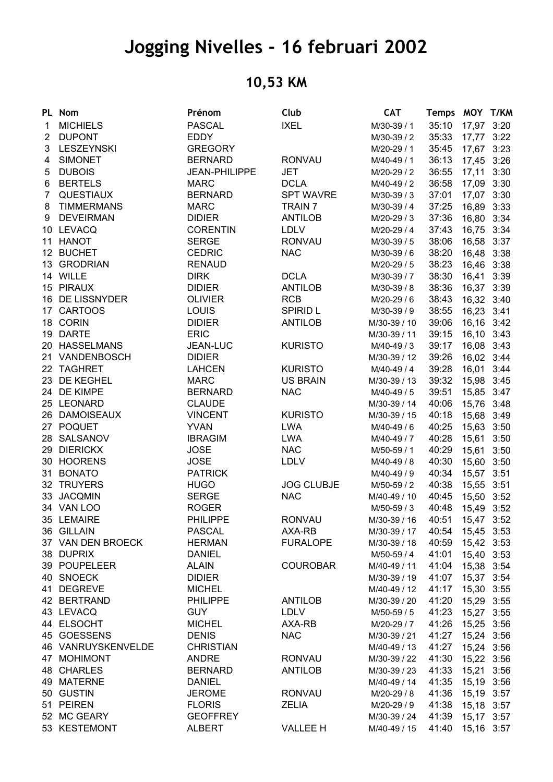## **Jogging Nivelles - 16 februari 2002**

## **10,53 KM**

|              | PL Nom             | Prénom               | Club              | <b>CAT</b>   | Temps MOY T/KM   |            |      |
|--------------|--------------------|----------------------|-------------------|--------------|------------------|------------|------|
| 1.           | <b>MICHIELS</b>    | <b>PASCAL</b>        | <b>IXEL</b>       | M/30-39 / 1  | 35:10            | 17,97 3:20 |      |
| $\mathbf{2}$ | <b>DUPONT</b>      | <b>EDDY</b>          |                   | M/30-39 / 2  | 35:33 17,77 3:22 |            |      |
| 3            | LESZEYNSKI         | <b>GREGORY</b>       |                   | M/20-29 / 1  | 35:45 17,67 3:23 |            |      |
| 4            | <b>SIMONET</b>     | <b>BERNARD</b>       | <b>RONVAU</b>     | M/40-49 / 1  | 36:13 17,45 3:26 |            |      |
| 5            | <b>DUBOIS</b>      | <b>JEAN-PHILIPPE</b> | <b>JET</b>        | M/20-29 / 2  | 36:55 17,11 3:30 |            |      |
|              | 6 BERTELS          | <b>MARC</b>          | <b>DCLA</b>       | M/40-49 / 2  | 36:58 17,09 3:30 |            |      |
| $7^{\circ}$  | QUESTIAUX          | <b>BERNARD</b>       | <b>SPT WAVRE</b>  | M/30-39 / 3  | 37:01 17,07 3:30 |            |      |
| 8            | <b>TIMMERMANS</b>  | <b>MARC</b>          | TRAIN 7           | M/30-39 / 4  | 37:25            | 16,89 3:33 |      |
| 9            | <b>DEVEIRMAN</b>   | <b>DIDIER</b>        | <b>ANTILOB</b>    | M/20-29 / 3  | 37:36            | 16,80 3:34 |      |
|              | 10 LEVACQ          | <b>CORENTIN</b>      | <b>LDLV</b>       | M/20-29 / 4  | 37:43            | 16,75      | 3:34 |
|              | 11 HANOT           | <b>SERGE</b>         | <b>RONVAU</b>     | M/30-39 / 5  | 38:06            | 16,58 3:37 |      |
|              | 12 BUCHET          | <b>CEDRIC</b>        | <b>NAC</b>        | M/30-39 / 6  | 38:20            | 16,48 3:38 |      |
|              | 13 GRODRIAN        | <b>RENAUD</b>        |                   | M/20-29 / 5  | 38:23            | 16,46 3:38 |      |
|              | 14 WILLE           | <b>DIRK</b>          | <b>DCLA</b>       | M/30-39 / 7  | 38:30 16,41 3:39 |            |      |
|              | 15 PIRAUX          | <b>DIDIER</b>        | <b>ANTILOB</b>    | M/30-39 / 8  | 38:36 16,37 3:39 |            |      |
|              | 16 DE LISSNYDER    | <b>OLIVIER</b>       | <b>RCB</b>        | M/20-29 / 6  | 38:43 16,32 3:40 |            |      |
|              | 17 CARTOOS         | LOUIS                | <b>SPIRID L</b>   | M/30-39 / 9  | 38:55 16,23 3:41 |            |      |
|              | 18 CORIN           | <b>DIDIER</b>        | <b>ANTILOB</b>    | M/30-39 / 10 | 39:06 16,16 3:42 |            |      |
|              | 19 DARTE           | <b>ERIC</b>          |                   | M/30-39 / 11 | 39:15 16,10 3:43 |            |      |
|              | 20 HASSELMANS      | JEAN-LUC             | <b>KURISTO</b>    | M/40-49 / 3  | 39:17 16,08 3:43 |            |      |
|              | 21 VANDENBOSCH     | <b>DIDIER</b>        |                   | M/30-39 / 12 | 39:26            | 16,02 3:44 |      |
|              | 22 TAGHRET         | <b>LAHCEN</b>        | <b>KURISTO</b>    | M/40-49 / 4  | 39:28            | 16,01 3:44 |      |
|              | 23 DE KEGHEL       | <b>MARC</b>          | <b>US BRAIN</b>   |              | 39:32            |            |      |
|              | 24 DE KIMPE        | <b>BERNARD</b>       |                   | M/30-39 / 13 |                  | 15,98 3:45 |      |
|              |                    |                      | <b>NAC</b>        | M/40-49 / 5  | 39:51            | 15,85 3:47 |      |
|              | 25 LEONARD         | <b>CLAUDE</b>        |                   | M/30-39 / 14 | 40:06            | 15,76 3:48 |      |
|              | 26 DAMOISEAUX      | <b>VINCENT</b>       | <b>KURISTO</b>    | M/30-39 / 15 | 40:18            | 15,68 3:49 |      |
|              | 27 POQUET          | <b>YVAN</b>          | <b>LWA</b>        | M/40-49 / 6  | 40:25            | 15,63 3:50 |      |
|              | 28 SALSANOV        | <b>IBRAGIM</b>       | <b>LWA</b>        | M/40-49 / 7  | 40:28 15,61 3:50 |            |      |
|              | 29 DIERICKX        | <b>JOSE</b>          | <b>NAC</b>        | M/50-59 / 1  | 40:29            | 15,61      | 3:50 |
|              | 30 HOORENS         | <b>JOSE</b>          | <b>LDLV</b>       | M/40-49 / 8  | 40:30            | 15,60 3:50 |      |
|              | 31 BONATO          | <b>PATRICK</b>       |                   | M/40-49 / 9  | 40:34 15,57 3:51 |            |      |
|              | 32 TRUYERS         | <b>HUGO</b>          | <b>JOG CLUBJE</b> | M/50-59 / 2  | 40:38            | 15,55 3:51 |      |
|              | 33 JACQMIN         | <b>SERGE</b>         | <b>NAC</b>        | M/40-49 / 10 | 40:45            | 15,50      | 3:52 |
|              | 34 VAN LOO         | <b>ROGER</b>         |                   | M/50-59 / 3  | 40:48            | 15,49 3:52 |      |
|              | 35 LEMAIRE         | <b>PHILIPPE</b>      | <b>RONVAU</b>     | M/30-39 / 16 | 40:51            | 15,47 3:52 |      |
|              | 36 GILLAIN         | <b>PASCAL</b>        | AXA-RB            | M/30-39 / 17 | 40:54            | 15,45 3:53 |      |
|              | 37 VAN DEN BROECK  | <b>HERMAN</b>        | <b>FURALOPE</b>   | M/30-39 / 18 | 40:59            | 15,42 3:53 |      |
|              | 38 DUPRIX          | <b>DANIEL</b>        |                   | M/50-59 / 4  | 41:01            | 15,40 3:53 |      |
|              | 39 POUPELEER       | <b>ALAIN</b>         | <b>COUROBAR</b>   | M/40-49 / 11 | 41:04 15,38 3:54 |            |      |
|              | 40 SNOECK          | <b>DIDIER</b>        |                   | M/30-39 / 19 | 41:07 15,37 3:54 |            |      |
|              | 41 DEGREVE         | <b>MICHEL</b>        |                   | M/40-49 / 12 | 41:17 15,30 3:55 |            |      |
|              | 42 BERTRAND        | <b>PHILIPPE</b>      | <b>ANTILOB</b>    | M/30-39 / 20 | 41:20            | 15,29 3:55 |      |
|              | 43 LEVACQ          | <b>GUY</b>           | <b>LDLV</b>       | M/50-59 / 5  | 41:23 15,27 3:55 |            |      |
|              | 44 ELSOCHT         | <b>MICHEL</b>        | AXA-RB            | M/20-29 / 7  | 41:26            | 15,25 3:56 |      |
|              | 45 GOESSENS        | <b>DENIS</b>         | <b>NAC</b>        | M/30-39 / 21 | 41:27            | 15,24 3:56 |      |
|              | 46 VANRUYSKENVELDE | <b>CHRISTIAN</b>     |                   | M/40-49 / 13 | 41:27            | 15,24 3:56 |      |
|              | 47 MOHIMONT        | <b>ANDRE</b>         | <b>RONVAU</b>     | M/30-39 / 22 | 41:30            | 15,22 3:56 |      |
|              | 48 CHARLES         | <b>BERNARD</b>       | <b>ANTILOB</b>    | M/30-39 / 23 | 41:33            | 15,21 3:56 |      |
|              | 49 MATERNE         | <b>DANIEL</b>        |                   | M/40-49 / 14 | 41:35            | 15,19 3:56 |      |
|              | 50 GUSTIN          | <b>JEROME</b>        | <b>RONVAU</b>     | M/20-29 / 8  | 41:36 15,19 3:57 |            |      |
|              | 51 PEIREN          | <b>FLORIS</b>        | <b>ZELIA</b>      | M/20-29 / 9  | 41:38            | 15,18 3:57 |      |
|              | 52 MC GEARY        | <b>GEOFFREY</b>      |                   | M/30-39 / 24 | 41:39 15,17 3:57 |            |      |
|              | 53 KESTEMONT       | <b>ALBERT</b>        | <b>VALLEE H</b>   | M/40-49 / 15 | 41:40 15,16 3:57 |            |      |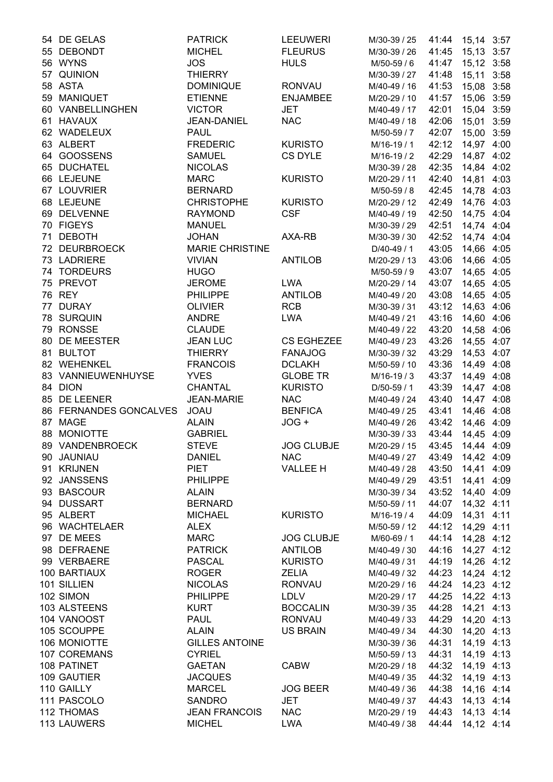| 54 DE GELAS            | <b>PATRICK</b>         | <b>LEEUWERI</b>   | M/30-39 / 25 | 41:44 15,14 3:57 |            |      |
|------------------------|------------------------|-------------------|--------------|------------------|------------|------|
| 55 DEBONDT             | <b>MICHEL</b>          | <b>FLEURUS</b>    | M/30-39 / 26 | 41:45 15,13 3:57 |            |      |
| 56 WYNS                | <b>JOS</b>             | <b>HULS</b>       | M/50-59 / 6  | 41:47 15,12 3:58 |            |      |
| 57 QUINION             | <b>THIERRY</b>         |                   | M/30-39 / 27 | 41:48 15,11 3:58 |            |      |
| 58 ASTA                | <b>DOMINIQUE</b>       | <b>RONVAU</b>     | M/40-49 / 16 | 41:53            | 15,08 3:58 |      |
| 59 MANIQUET            | <b>ETIENNE</b>         | <b>ENJAMBEE</b>   | M/20-29 / 10 | 41:57            | 15,06 3:59 |      |
| 60 VANBELLINGHEN       | <b>VICTOR</b>          | <b>JET</b>        | M/40-49 / 17 | 42:01            | 15,04 3:59 |      |
| 61 HAVAUX              | <b>JEAN-DANIEL</b>     | <b>NAC</b>        | M/40-49 / 18 | 42:06            | 15,01 3:59 |      |
| 62 WADELEUX            | <b>PAUL</b>            |                   | M/50-59 / 7  | 42:07            | 15,00 3:59 |      |
| 63 ALBERT              | <b>FREDERIC</b>        | <b>KURISTO</b>    | M/16-19 / 1  | 42:12            | 14,97 4:00 |      |
| 64 GOOSSENS            | <b>SAMUEL</b>          | CS DYLE           | M/16-19 / 2  | 42:29            | 14,87 4:02 |      |
| 65 DUCHATEL            | <b>NICOLAS</b>         |                   |              | 42:35 14,84 4:02 |            |      |
|                        |                        |                   | M/30-39 / 28 |                  |            |      |
| 66 LEJEUNE             | <b>MARC</b>            | <b>KURISTO</b>    | M/20-29 / 11 | 42:40 14,81 4:03 |            |      |
| 67 LOUVRIER            | <b>BERNARD</b>         |                   | M/50-59 / 8  | 42:45 14,78 4:03 |            |      |
| 68 LEJEUNE             | <b>CHRISTOPHE</b>      | <b>KURISTO</b>    | M/20-29 / 12 | 42:49 14,76 4:03 |            |      |
| 69 DELVENNE            | <b>RAYMOND</b>         | <b>CSF</b>        | M/40-49 / 19 | 42:50 14,75 4:04 |            |      |
| 70 FIGEYS              | <b>MANUEL</b>          |                   | M/30-39 / 29 | 42:51 14,74 4:04 |            |      |
| 71 DEBOTH              | <b>JOHAN</b>           | AXA-RB            | M/30-39 / 30 | 42:52            | 14,74 4:04 |      |
| 72 DEURBROECK          | <b>MARIE CHRISTINE</b> |                   | D/40-49 / 1  | 43:05            | 14,66 4:05 |      |
| 73 LADRIERE            | <b>VIVIAN</b>          | <b>ANTILOB</b>    | M/20-29 / 13 | 43:06            | 14,66 4:05 |      |
| 74 TORDEURS            | <b>HUGO</b>            |                   | M/50-59 / 9  | 43:07            | 14,65 4:05 |      |
| 75 PREVOT              | <b>JEROME</b>          | <b>LWA</b>        | M/20-29 / 14 | 43:07            | 14,65 4:05 |      |
| 76 REY                 | <b>PHILIPPE</b>        | <b>ANTILOB</b>    | M/40-49 / 20 | 43:08 14,65 4:05 |            |      |
| 77 DURAY               | <b>OLIVIER</b>         | <b>RCB</b>        | M/30-39 / 31 | 43:12 14,63 4:06 |            |      |
| 78 SURQUIN             | <b>ANDRE</b>           | <b>LWA</b>        | M/40-49 / 21 | 43:16 14,60 4:06 |            |      |
| 79 RONSSE              | <b>CLAUDE</b>          |                   | M/40-49 / 22 | 43:20 14,58 4:06 |            |      |
| 80 DE MEESTER          | <b>JEAN LUC</b>        | <b>CS EGHEZEE</b> | M/40-49 / 23 | 43:26 14,55 4:07 |            |      |
| 81 BULTOT              | <b>THIERRY</b>         | <b>FANAJOG</b>    | M/30-39 / 32 | 43:29 14,53 4:07 |            |      |
| 82 WEHENKEL            | <b>FRANCOIS</b>        | <b>DCLAKH</b>     | M/50-59 / 10 | 43:36            | 14,49      | 4:08 |
| 83 VANNIEUWENHUYSE     | <b>YVES</b>            | <b>GLOBE TR</b>   | M/16-19 / 3  | 43:37            | 14,49 4:08 |      |
| 84 DION                | <b>CHANTAL</b>         | <b>KURISTO</b>    | D/50-59 / 1  | 43:39            | 14,47 4:08 |      |
|                        |                        |                   |              |                  |            |      |
| 85 DE LEENER           | <b>JEAN-MARIE</b>      | <b>NAC</b>        | M/40-49 / 24 | 43:40            | 14,47 4:08 |      |
| 86 FERNANDES GONCALVES | <b>JOAU</b>            | <b>BENFICA</b>    | M/40-49 / 25 | 43:41            | 14,46 4:08 |      |
| 87 MAGE                | <b>ALAIN</b>           | JOG +             | M/40-49 / 26 | 43:42            | 14,46 4:09 |      |
| 88 MONIOTTE            | <b>GABRIEL</b>         |                   | M/30-39 / 33 | 43:44            | 14,45 4:09 |      |
| 89 VANDENBROECK        | <b>STEVE</b>           | <b>JOG CLUBJE</b> | M/20-29 / 15 | 43:45            | 14,44 4:09 |      |
| 90 JAUNIAU             | <b>DANIEL</b>          | <b>NAC</b>        | M/40-49 / 27 | 43:49 14,42 4:09 |            |      |
| 91 KRIJNEN             | <b>PIET</b>            | <b>VALLEE H</b>   | M/40-49 / 28 | 43:50 14,41 4:09 |            |      |
| 92 JANSSENS            | <b>PHILIPPE</b>        |                   | M/40-49 / 29 | 43:51            | 14,41 4:09 |      |
| 93 BASCOUR             | <b>ALAIN</b>           |                   | M/30-39 / 34 | 43:52 14,40 4:09 |            |      |
| 94 DUSSART             | <b>BERNARD</b>         |                   | M/50-59 / 11 | 44:07            | 14,32 4:11 |      |
| 95 ALBERT              | <b>MICHAEL</b>         | <b>KURISTO</b>    | M/16-19 / 4  | 44:09            | 14,31 4:11 |      |
| 96 WACHTELAER          | <b>ALEX</b>            |                   | M/50-59 / 12 | 44:12            | 14,29 4:11 |      |
| 97 DE MEES             | <b>MARC</b>            | <b>JOG CLUBJE</b> | M/60-69 / 1  | 44:14            | 14,28 4:12 |      |
| 98 DEFRAENE            | <b>PATRICK</b>         | <b>ANTILOB</b>    | M/40-49 / 30 | 44:16            | 14,27 4:12 |      |
| 99 VERBAERE            | <b>PASCAL</b>          | <b>KURISTO</b>    | M/40-49 / 31 | 44:19            | 14,26 4:12 |      |
| 100 BARTIAUX           | <b>ROGER</b>           | <b>ZELIA</b>      | M/40-49 / 32 | 44:23            | 14,24 4:12 |      |
| 101 SILLIEN            | <b>NICOLAS</b>         | <b>RONVAU</b>     | M/20-29 / 16 | 44:24            | 14,23 4:12 |      |
| 102 SIMON              | <b>PHILIPPE</b>        | <b>LDLV</b>       | M/20-29 / 17 | 44:25 14,22 4:13 |            |      |
| 103 ALSTEENS           | <b>KURT</b>            | <b>BOCCALIN</b>   |              |                  |            |      |
|                        |                        |                   | M/30-39 / 35 | 44:28 14,21 4:13 |            |      |
| 104 VANOOST            | <b>PAUL</b>            | <b>RONVAU</b>     | M/40-49 / 33 | 44:29 14,20 4:13 |            |      |
| 105 SCOUPPE            | <b>ALAIN</b>           | <b>US BRAIN</b>   | M/40-49 / 34 | 44:30 14,20 4:13 |            |      |
| 106 MONIOTTE           | <b>GILLES ANTOINE</b>  |                   | M/30-39 / 36 | 44:31            | 14,19 4:13 |      |
| 107 COREMANS           | <b>CYRIEL</b>          |                   | M/50-59 / 13 | 44:31            | 14,19 4:13 |      |
| 108 PATINET            | <b>GAETAN</b>          | <b>CABW</b>       | M/20-29 / 18 | 44:32            | 14,19 4:13 |      |
| 109 GAUTIER            | <b>JACQUES</b>         |                   | M/40-49 / 35 | 44:32            | 14,19 4:13 |      |
| 110 GAILLY             | <b>MARCEL</b>          | <b>JOG BEER</b>   | M/40-49 / 36 | 44:38            | 14,16 4:14 |      |
| 111 PASCOLO            | <b>SANDRO</b>          | <b>JET</b>        | M/40-49 / 37 | 44:43            | 14,13 4:14 |      |
| 112 THOMAS             | <b>JEAN FRANCOIS</b>   | <b>NAC</b>        | M/20-29 / 19 | 44:43            | 14,13 4:14 |      |
| 113 LAUWERS            | <b>MICHEL</b>          | <b>LWA</b>        | M/40-49 / 38 | 44:44            | 14,12 4:14 |      |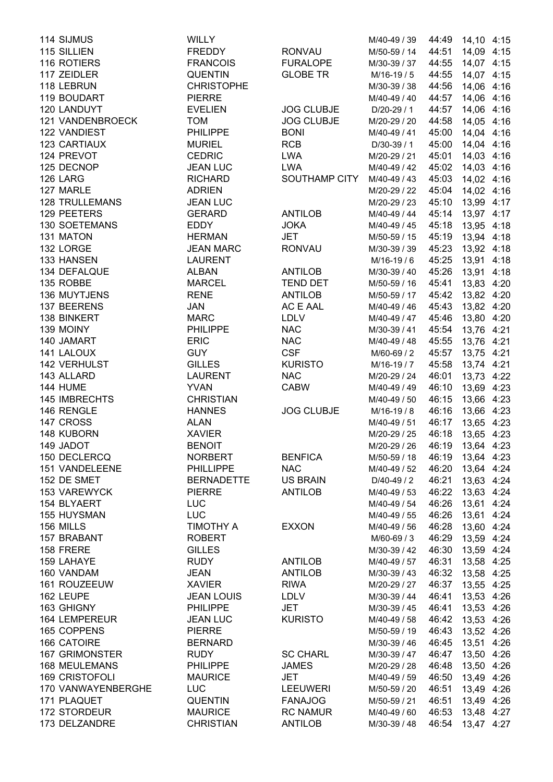| 114 SIJMUS            | <b>WILLY</b>      |                   | M/40-49 / 39 |       | 44:49 14,10 4:15 |      |
|-----------------------|-------------------|-------------------|--------------|-------|------------------|------|
| 115 SILLIEN           | <b>FREDDY</b>     | <b>RONVAU</b>     | M/50-59 / 14 | 44:51 | 14,09 4:15       |      |
| 116 ROTIERS           | <b>FRANCOIS</b>   | <b>FURALOPE</b>   | M/30-39 / 37 | 44:55 | 14,07 4:15       |      |
| 117 ZEIDLER           | <b>QUENTIN</b>    | <b>GLOBE TR</b>   | M/16-19 / 5  | 44:55 | 14,07 4:15       |      |
| 118 LEBRUN            | <b>CHRISTOPHE</b> |                   | M/30-39 / 38 | 44:56 | 14,06 4:16       |      |
| 119 BOUDART           | <b>PIERRE</b>     |                   | M/40-49 / 40 | 44:57 | 14,06 4:16       |      |
| 120 LANDUYT           | <b>EVELIEN</b>    | <b>JOG CLUBJE</b> | D/20-29 / 1  | 44:57 | 14,06 4:16       |      |
| 121 VANDENBROECK      | <b>TOM</b>        | <b>JOG CLUBJE</b> | M/20-29 / 20 | 44:58 | 14,05 4:16       |      |
| 122 VANDIEST          | <b>PHILIPPE</b>   | <b>BONI</b>       | M/40-49 / 41 | 45:00 | 14,04 4:16       |      |
| 123 CARTIAUX          | <b>MURIEL</b>     | <b>RCB</b>        | D/30-39 / 1  | 45:00 | 14,04 4:16       |      |
| 124 PREVOT            | <b>CEDRIC</b>     | <b>LWA</b>        |              |       |                  |      |
|                       |                   |                   | M/20-29 / 21 | 45:01 | 14,03 4:16       |      |
| 125 DECNOP            | <b>JEAN LUC</b>   | <b>LWA</b>        | M/40-49 / 42 |       | 45:02 14,03 4:16 |      |
| 126 LARG              | <b>RICHARD</b>    | SOUTHAMP CITY     | M/40-49 / 43 |       | 45:03 14,02 4:16 |      |
| 127 MARLE             | <b>ADRIEN</b>     |                   | M/20-29 / 22 |       | 45:04 14,02 4:16 |      |
| <b>128 TRULLEMANS</b> | <b>JEAN LUC</b>   |                   | M/20-29 / 23 |       | 45:10 13,99 4:17 |      |
| 129 PEETERS           | <b>GERARD</b>     | <b>ANTILOB</b>    | M/40-49 / 44 |       | 45:14 13,97 4:17 |      |
| <b>130 SOETEMANS</b>  | <b>EDDY</b>       | <b>JOKA</b>       | M/40-49 / 45 | 45:18 | 13,95 4:18       |      |
| 131 MATON             | <b>HERMAN</b>     | <b>JET</b>        | M/50-59 / 15 | 45:19 | 13,94 4:18       |      |
| 132 LORGE             | <b>JEAN MARC</b>  | <b>RONVAU</b>     | M/30-39 / 39 | 45:23 | 13,92 4:18       |      |
| 133 HANSEN            | <b>LAURENT</b>    |                   | M/16-19 / 6  | 45:25 | 13,91 4:18       |      |
| 134 DEFALQUE          | <b>ALBAN</b>      | <b>ANTILOB</b>    | M/30-39 / 40 | 45:26 | 13,91            | 4:18 |
| 135 ROBBE             | <b>MARCEL</b>     | <b>TEND DET</b>   | M/50-59 / 16 | 45:41 | 13,83 4:20       |      |
| 136 MUYTJENS          | <b>RENE</b>       | <b>ANTILOB</b>    | M/50-59 / 17 |       | 45:42 13,82 4:20 |      |
| 137 BEERENS           | <b>JAN</b>        | AC E AAL          | M/40-49 / 46 |       | 45:43 13,82 4:20 |      |
| 138 BINKERT           | <b>MARC</b>       | <b>LDLV</b>       | M/40-49 / 47 |       | 45:46 13,80 4:20 |      |
| 139 MOINY             | <b>PHILIPPE</b>   | <b>NAC</b>        | M/30-39 / 41 |       | 45:54 13,76 4:21 |      |
| 140 JAMART            | <b>ERIC</b>       | <b>NAC</b>        | M/40-49 / 48 | 45:55 | 13,76 4:21       |      |
| 141 LALOUX            | <b>GUY</b>        | <b>CSF</b>        | M/60-69 / 2  | 45:57 | 13,75 4:21       |      |
| <b>142 VERHULST</b>   | <b>GILLES</b>     | <b>KURISTO</b>    | M/16-19 / 7  | 45:58 | 13,74 4:21       |      |
| 143 ALLARD            | <b>LAURENT</b>    | <b>NAC</b>        | M/20-29 / 24 | 46:01 | 13,73 4:22       |      |
| <b>144 HUME</b>       | <b>YVAN</b>       | <b>CABW</b>       | M/40-49 / 49 | 46:10 | 13,69 4:23       |      |
| 145 IMBRECHTS         | <b>CHRISTIAN</b>  |                   | M/40-49 / 50 | 46:15 | 13,66 4:23       |      |
| 146 RENGLE            | <b>HANNES</b>     | <b>JOG CLUBJE</b> | M/16-19 / 8  | 46:16 | 13,66 4:23       |      |
|                       |                   |                   |              |       |                  |      |
| 147 CROSS             | <b>ALAN</b>       |                   | M/40-49 / 51 | 46:17 | 13,65 4:23       |      |
| 148 KUBORN            | <b>XAVIER</b>     |                   | M/20-29 / 25 | 46:18 | 13,65 4:23       |      |
| 149 JADOT             | <b>BENOIT</b>     |                   | M/20-29 / 26 | 46:19 | 13,64 4:23       |      |
| 150 DECLERCQ          | <b>NORBERT</b>    | <b>BENFICA</b>    | M/50-59 / 18 | 46:19 | 13,64 4:23       |      |
| 151 VANDELEENE        | <b>PHILLIPPE</b>  | <b>NAC</b>        | M/40-49 / 52 |       | 46:20 13,64 4:24 |      |
| 152 DE SMET           | <b>BERNADETTE</b> | <b>US BRAIN</b>   | D/40-49 / 2  | 46:21 | 13,63 4:24       |      |
| 153 VAREWYCK          | <b>PIERRE</b>     | <b>ANTILOB</b>    | M/40-49 / 53 | 46:22 | 13,63 4:24       |      |
| 154 BLYAERT           | <b>LUC</b>        |                   | M/40-49 / 54 | 46:26 | 13,61 4:24       |      |
| 155 HUYSMAN           | <b>LUC</b>        |                   | M/40-49 / 55 | 46:26 | 13,61 4:24       |      |
| 156 MILLS             | <b>TIMOTHY A</b>  | <b>EXXON</b>      | M/40-49 / 56 | 46:28 | 13,60 4:24       |      |
| 157 BRABANT           | <b>ROBERT</b>     |                   | M/60-69 / 3  | 46:29 | 13,59 4:24       |      |
| 158 FRERE             | <b>GILLES</b>     |                   | M/30-39 / 42 | 46:30 | 13,59 4:24       |      |
| 159 LAHAYE            | <b>RUDY</b>       | <b>ANTILOB</b>    | M/40-49 / 57 | 46:31 | 13,58 4:25       |      |
| 160 VANDAM            | <b>JEAN</b>       | <b>ANTILOB</b>    | M/30-39 / 43 | 46:32 | 13,58 4:25       |      |
| 161 ROUZEEUW          | <b>XAVIER</b>     | <b>RIWA</b>       | M/20-29 / 27 | 46:37 | 13,55 4:25       |      |
| 162 LEUPE             | <b>JEAN LOUIS</b> | <b>LDLV</b>       | M/30-39 / 44 | 46:41 | 13,53 4:26       |      |
| 163 GHIGNY            | <b>PHILIPPE</b>   | JET               | M/30-39 / 45 | 46:41 | 13,53 4:26       |      |
| <b>164 LEMPEREUR</b>  | <b>JEAN LUC</b>   | <b>KURISTO</b>    | M/40-49 / 58 |       | 46:42 13,53 4:26 |      |
| 165 COPPENS           | <b>PIERRE</b>     |                   | M/50-59 / 19 |       | 46:43 13,52 4:26 |      |
| <b>166 CATOIRE</b>    | <b>BERNARD</b>    |                   | M/30-39 / 46 | 46:45 | 13,51 4:26       |      |
| <b>167 GRIMONSTER</b> | <b>RUDY</b>       | <b>SC CHARL</b>   | M/30-39 / 47 | 46:47 | 13,50 4:26       |      |
| <b>168 MEULEMANS</b>  | <b>PHILIPPE</b>   | <b>JAMES</b>      | M/20-29 / 28 | 46:48 | 13,50 4:26       |      |
| <b>169 CRISTOFOLI</b> | <b>MAURICE</b>    | <b>JET</b>        | M/40-49 / 59 | 46:50 | 13,49            | 4:26 |
| 170 VANWAYENBERGHE    | <b>LUC</b>        | <b>LEEUWERI</b>   | M/50-59 / 20 | 46:51 | 13,49 4:26       |      |
| 171 PLAQUET           | <b>QUENTIN</b>    | <b>FANAJOG</b>    | M/50-59 / 21 | 46:51 | 13,49 4:26       |      |
| 172 STORDEUR          | <b>MAURICE</b>    | <b>RC NAMUR</b>   | M/40-49 / 60 | 46:53 |                  |      |
|                       |                   |                   |              |       | 13,48 4:27       |      |
| 173 DELZANDRE         | <b>CHRISTIAN</b>  | <b>ANTILOB</b>    | M/30-39 / 48 | 46:54 | 13,47 4:27       |      |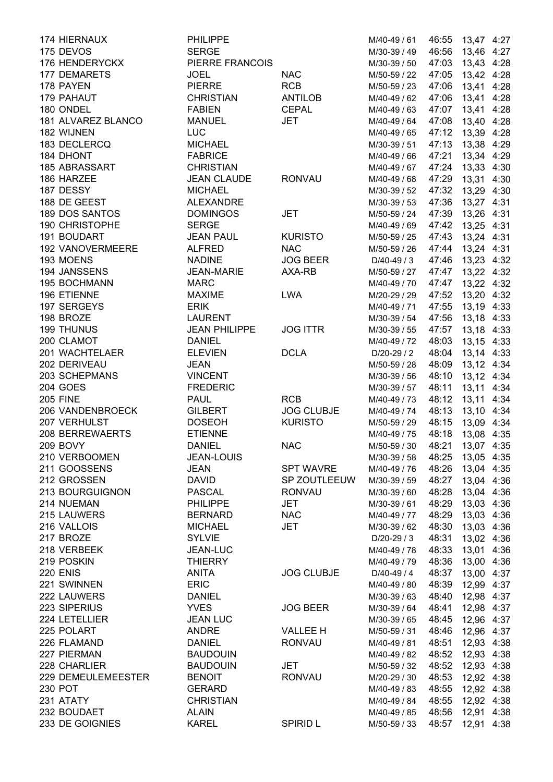| 174 HIERNAUX          | <b>PHILIPPE</b>      |                   | M/40-49 / 61 |                  | 46:55 13,47 4:27 |      |
|-----------------------|----------------------|-------------------|--------------|------------------|------------------|------|
| 175 DEVOS             | <b>SERGE</b>         |                   | M/30-39 / 49 |                  | 46:56 13,46 4:27 |      |
| 176 HENDERYCKX        | PIERRE FRANCOIS      |                   | M/30-39 / 50 |                  | 47:03 13,43 4:28 |      |
| 177 DEMARETS          | <b>JOEL</b>          | <b>NAC</b>        | M/50-59 / 22 | 47:05            | 13,42 4:28       |      |
| 178 PAYEN             | <b>PIERRE</b>        | <b>RCB</b>        | M/50-59 / 23 | 47:06            | 13,41 4:28       |      |
| 179 PAHAUT            | <b>CHRISTIAN</b>     | <b>ANTILOB</b>    | M/40-49 / 62 | 47:06            | 13,41 4:28       |      |
| 180 ONDEL             | <b>FABIEN</b>        | <b>CEPAL</b>      | M/40-49 / 63 | 47:07            | 13,41 4:28       |      |
| 181 ALVAREZ BLANCO    | <b>MANUEL</b>        | <b>JET</b>        | M/40-49 / 64 | 47:08            | 13,40 4:28       |      |
| 182 WIJNEN            | <b>LUC</b>           |                   | M/40-49 / 65 | 47:12            | 13,39 4:28       |      |
| 183 DECLERCQ          | <b>MICHAEL</b>       |                   | M/30-39 / 51 | 47:13            | 13,38 4:29       |      |
| 184 DHONT             | <b>FABRICE</b>       |                   | M/40-49 / 66 | 47:21            | 13,34 4:29       |      |
|                       |                      |                   |              |                  |                  |      |
| 185 ABRASSART         | <b>CHRISTIAN</b>     |                   | M/40-49 / 67 |                  | 47:24 13,33 4:30 |      |
| 186 HARZEE            | <b>JEAN CLAUDE</b>   | <b>RONVAU</b>     | M/40-49 / 68 | 47:29 13,31 4:30 |                  |      |
| 187 DESSY             | <b>MICHAEL</b>       |                   | M/30-39 / 52 | 47:32 13,29 4:30 |                  |      |
| 188 DE GEEST          | <b>ALEXANDRE</b>     |                   | M/30-39 / 53 |                  | 47:36 13,27 4:31 |      |
| 189 DOS SANTOS        | <b>DOMINGOS</b>      | <b>JET</b>        | M/50-59 / 24 | 47:39            | 13,26 4:31       |      |
| <b>190 CHRISTOPHE</b> | <b>SERGE</b>         |                   | M/40-49 / 69 |                  | 47:42 13,25 4:31 |      |
| 191 BOUDART           | <b>JEAN PAUL</b>     | <b>KURISTO</b>    | M/50-59 / 25 | 47:43            | 13,24 4:31       |      |
| 192 VANOVERMEERE      | <b>ALFRED</b>        | <b>NAC</b>        | M/50-59 / 26 | 47:44            | 13,24 4:31       |      |
| 193 MOENS             | <b>NADINE</b>        | <b>JOG BEER</b>   | $D/40-49/3$  | 47:46            | 13,23 4:32       |      |
| 194 JANSSENS          | <b>JEAN-MARIE</b>    | AXA-RB            | M/50-59 / 27 | 47:47            | 13,22 4:32       |      |
| 195 BOCHMANN          | <b>MARC</b>          |                   | M/40-49 / 70 | 47:47            | 13,22 4:32       |      |
| 196 ETIENNE           | <b>MAXIME</b>        | <b>LWA</b>        | M/20-29 / 29 | 47:52            | 13,20 4:32       |      |
| 197 SERGEYS           | <b>ERIK</b>          |                   | M/40-49 / 71 |                  | 47:55 13,19 4:33 |      |
| 198 BROZE             | <b>LAURENT</b>       |                   | M/30-39 / 54 |                  | 47:56 13,18 4:33 |      |
| <b>199 THUNUS</b>     | <b>JEAN PHILIPPE</b> | <b>JOG ITTR</b>   | M/30-39 / 55 |                  | 47:57 13,18 4:33 |      |
| 200 CLAMOT            | <b>DANIEL</b>        |                   |              | 48:03            |                  |      |
|                       |                      |                   | M/40-49 / 72 |                  | 13,15 4:33       |      |
| 201 WACHTELAER        | <b>ELEVIEN</b>       | <b>DCLA</b>       | $D/20-29/2$  | 48:04            | 13,14 4:33       |      |
| 202 DERIVEAU          | <b>JEAN</b>          |                   | M/50-59 / 28 | 48:09            | 13,12 4:34       |      |
| 203 SCHEPMANS         | <b>VINCENT</b>       |                   | M/30-39 / 56 | 48:10            | 13,12 4:34       |      |
| 204 GOES              | <b>FREDERIC</b>      |                   | M/30-39 / 57 | 48:11            | 13,11 4:34       |      |
| <b>205 FINE</b>       | <b>PAUL</b>          | <b>RCB</b>        | M/40-49 / 73 | 48:12            | 13,11 4:34       |      |
| 206 VANDENBROECK      | <b>GILBERT</b>       | <b>JOG CLUBJE</b> | M/40-49 / 74 | 48:13            | 13,10 4:34       |      |
| 207 VERHULST          | <b>DOSEOH</b>        | <b>KURISTO</b>    | M/50-59 / 29 | 48:15            | 13,09 4:34       |      |
| 208 BERREWAERTS       | <b>ETIENNE</b>       |                   | M/40-49 / 75 | 48:18            | 13,08 4:35       |      |
| <b>209 BOVY</b>       | <b>DANIEL</b>        | <b>NAC</b>        | M/50-59 / 30 | 48:21            | 13,07 4:35       |      |
| 210 VERBOOMEN         | <b>JEAN-LOUIS</b>    |                   | M/30-39 / 58 | 48:25            | 13,05 4:35       |      |
| 211 GOOSSENS          | <b>JEAN</b>          | <b>SPT WAVRE</b>  | M/40-49 / 76 | 48:26            | 13,04 4:35       |      |
| 212 GROSSEN           | <b>DAVID</b>         | SP ZOUTLEEUW      | M/30-39 / 59 | 48:27            | 13,04 4:36       |      |
| 213 BOURGUIGNON       | <b>PASCAL</b>        | <b>RONVAU</b>     | M/30-39 / 60 | 48:28            | 13,04 4:36       |      |
| 214 NUEMAN            | <b>PHILIPPE</b>      | <b>JET</b>        | M/30-39 / 61 | 48:29            | 13,03 4:36       |      |
| 215 LAUWERS           | <b>BERNARD</b>       | <b>NAC</b>        | M/40-49 / 77 | 48:29            | 13,03 4:36       |      |
|                       |                      |                   |              |                  |                  |      |
| 216 VALLOIS           | <b>MICHAEL</b>       | <b>JET</b>        | M/30-39 / 62 | 48:30            | 13,03 4:36       |      |
| 217 BROZE             | <b>SYLVIE</b>        |                   | $D/20-29/3$  | 48:31            | 13,02 4:36       |      |
| 218 VERBEEK           | <b>JEAN-LUC</b>      |                   | M/40-49 / 78 | 48:33            | 13,01 4:36       |      |
| 219 POSKIN            | <b>THIERRY</b>       |                   | M/40-49 / 79 | 48:36            | 13,00 4:36       |      |
| <b>220 ENIS</b>       | <b>ANITA</b>         | <b>JOG CLUBJE</b> | D/40-49 / 4  | 48:37            | 13,00 4:37       |      |
| 221 SWINNEN           | <b>ERIC</b>          |                   | M/40-49 / 80 | 48:39            | 12,99 4:37       |      |
| 222 LAUWERS           | <b>DANIEL</b>        |                   | M/30-39 / 63 | 48:40            | 12,98 4:37       |      |
| 223 SIPERIUS          | <b>YVES</b>          | <b>JOG BEER</b>   | M/30-39 / 64 | 48:41            | 12,98 4:37       |      |
| 224 LETELLIER         | <b>JEAN LUC</b>      |                   | M/30-39 / 65 | 48:45            | 12,96 4:37       |      |
| 225 POLART            | <b>ANDRE</b>         | <b>VALLEE H</b>   | M/50-59 / 31 | 48:46            | 12,96 4:37       |      |
| 226 FLAMAND           | <b>DANIEL</b>        | <b>RONVAU</b>     | M/40-49 / 81 | 48:51            | 12,93 4:38       |      |
| 227 PIERMAN           | <b>BAUDOUIN</b>      |                   | M/40-49 / 82 | 48:52            | 12,93            | 4:38 |
| 228 CHARLIER          | <b>BAUDOUIN</b>      | <b>JET</b>        | M/50-59 / 32 | 48:52            | 12,93 4:38       |      |
| 229 DEMEULEMEESTER    | <b>BENOIT</b>        | <b>RONVAU</b>     | M/20-29 / 30 | 48:53            | 12,92 4:38       |      |
| 230 POT               | <b>GERARD</b>        |                   | M/40-49 / 83 | 48:55            |                  |      |
|                       |                      |                   |              |                  | 12,92 4:38       |      |
| 231 ATATY             | <b>CHRISTIAN</b>     |                   | M/40-49 / 84 | 48:55            | 12,92 4:38       |      |
| 232 BOUDAET           | <b>ALAIN</b>         |                   | M/40-49 / 85 | 48:56            | 12,91 4:38       |      |
| 233 DE GOIGNIES       | <b>KAREL</b>         | SPIRID L          | M/50-59 / 33 | 48:57            | 12,91 4:38       |      |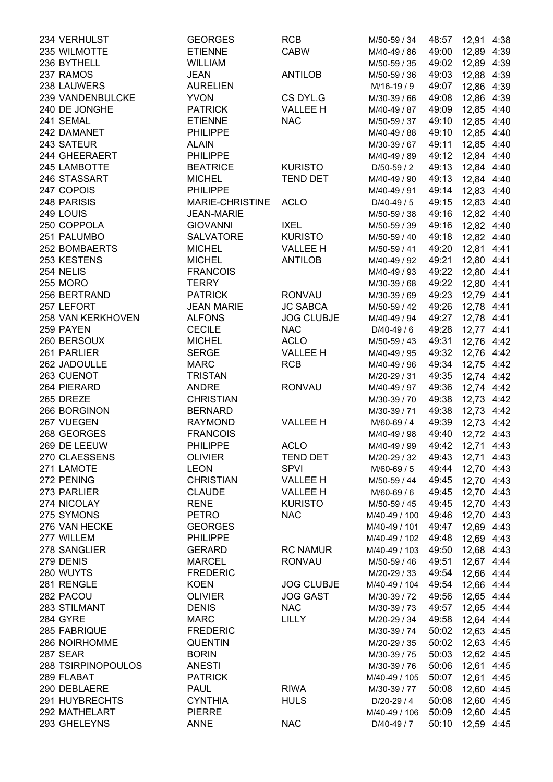| 234 VERHULST       | <b>GEORGES</b>    | <b>RCB</b>                        | M/50-59 / 34  | 48:57            | 12,91 4:38 |  |
|--------------------|-------------------|-----------------------------------|---------------|------------------|------------|--|
| 235 WILMOTTE       | <b>ETIENNE</b>    | <b>CABW</b>                       | M/40-49 / 86  | 49:00 12,89 4:39 |            |  |
| 236 BYTHELL        | <b>WILLIAM</b>    |                                   | M/50-59 / 35  | 49:02            | 12,89 4:39 |  |
| 237 RAMOS          | <b>JEAN</b>       | <b>ANTILOB</b>                    | M/50-59 / 36  | 49:03            | 12,88 4:39 |  |
| 238 LAUWERS        | <b>AURELIEN</b>   |                                   | M/16-19 / 9   | 49:07            | 12,86 4:39 |  |
| 239 VANDENBULCKE   | <b>YVON</b>       | CS DYL.G                          | M/30-39 / 66  | 49:08            | 12,86 4:39 |  |
| 240 DE JONGHE      | <b>PATRICK</b>    | <b>VALLEE H</b>                   | M/40-49 / 87  | 49:09            | 12,85 4:40 |  |
| 241 SEMAL          | <b>ETIENNE</b>    | <b>NAC</b>                        | M/50-59 / 37  | 49:10            | 12,85 4:40 |  |
| 242 DAMANET        | <b>PHILIPPE</b>   |                                   | M/40-49 / 88  | 49:10            | 12,85 4:40 |  |
| 243 SATEUR         | <b>ALAIN</b>      |                                   | M/30-39 / 67  | 49:11            | 12,85 4:40 |  |
| 244 GHEERAERT      | <b>PHILIPPE</b>   |                                   | M/40-49 / 89  | 49:12 12,84 4:40 |            |  |
| 245 LAMBOTTE       | <b>BEATRICE</b>   | <b>KURISTO</b>                    | D/50-59 / 2   | 49:13 12,84 4:40 |            |  |
| 246 STASSART       | <b>MICHEL</b>     | <b>TEND DET</b>                   | M/40-49 / 90  | 49:13 12,84 4:40 |            |  |
| 247 COPOIS         | <b>PHILIPPE</b>   |                                   | M/40-49 / 91  | 49:14 12,83 4:40 |            |  |
| 248 PARISIS        | MARIE-CHRISTINE   | <b>ACLO</b>                       | $D/40-49/5$   | 49:15 12,83 4:40 |            |  |
| 249 LOUIS          | <b>JEAN-MARIE</b> |                                   | M/50-59 / 38  | 49:16 12,82 4:40 |            |  |
| 250 COPPOLA        | <b>GIOVANNI</b>   | <b>IXEL</b>                       | M/50-59 / 39  | 49:16            | 12,82 4:40 |  |
| 251 PALUMBO        | <b>SALVATORE</b>  |                                   |               |                  |            |  |
|                    | <b>MICHEL</b>     | <b>KURISTO</b><br><b>VALLEE H</b> | M/50-59 / 40  | 49:18            | 12,82 4:40 |  |
| 252 BOMBAERTS      |                   |                                   | M/50-59 / 41  | 49:20            | 12,81 4:41 |  |
| 253 KESTENS        | <b>MICHEL</b>     | <b>ANTILOB</b>                    | M/40-49 / 92  | 49:21            | 12,80 4:41 |  |
| 254 NELIS          | <b>FRANCOIS</b>   |                                   | M/40-49 / 93  | 49:22            | 12,80 4:41 |  |
| <b>255 MORO</b>    | <b>TERRY</b>      |                                   | M/30-39 / 68  | 49:22            | 12,80 4:41 |  |
| 256 BERTRAND       | <b>PATRICK</b>    | <b>RONVAU</b>                     | M/30-39 / 69  | 49:23 12,79 4:41 |            |  |
| 257 LEFORT         | <b>JEAN MARIE</b> | <b>JC SABCA</b>                   | M/50-59 / 42  | 49:26 12,78 4:41 |            |  |
| 258 VAN KERKHOVEN  | <b>ALFONS</b>     | <b>JOG CLUBJE</b>                 | M/40-49 / 94  | 49:27 12,78 4:41 |            |  |
| 259 PAYEN          | <b>CECILE</b>     | <b>NAC</b>                        | $D/40-49/6$   | 49:28 12,77 4:41 |            |  |
| 260 BERSOUX        | <b>MICHEL</b>     | <b>ACLO</b>                       | M/50-59 / 43  | 49:31            | 12,76 4:42 |  |
| 261 PARLIER        | <b>SERGE</b>      | VALLEE H                          | M/40-49 / 95  | 49:32            | 12,76 4:42 |  |
| 262 JADOULLE       | <b>MARC</b>       | <b>RCB</b>                        | M/40-49 / 96  | 49:34            | 12,75 4:42 |  |
| 263 CUENOT         | <b>TRISTAN</b>    |                                   | M/20-29 / 31  | 49:35            | 12,74 4:42 |  |
| 264 PIERARD        | <b>ANDRE</b>      | <b>RONVAU</b>                     | M/40-49 / 97  | 49:36            | 12,74 4:42 |  |
| 265 DREZE          | <b>CHRISTIAN</b>  |                                   | M/30-39 / 70  | 49:38            | 12,73 4:42 |  |
| 266 BORGINON       | <b>BERNARD</b>    |                                   | M/30-39 / 71  | 49:38            | 12,73 4:42 |  |
| 267 VUEGEN         | <b>RAYMOND</b>    | <b>VALLEE H</b>                   | M/60-69 / 4   | 49:39            | 12,73 4:42 |  |
| 268 GEORGES        | <b>FRANCOIS</b>   |                                   | M/40-49 / 98  | 49:40            | 12,72 4:43 |  |
| 269 DE LEEUW       | <b>PHILIPPE</b>   | <b>ACLO</b>                       | M/40-49 / 99  | 49:42            | 12,71 4:43 |  |
| 270 CLAESSENS      | <b>OLIVIER</b>    | <b>TEND DET</b>                   | M/20-29 / 32  | 49:43            | 12,71 4:43 |  |
| 271 LAMOTE         | <b>LEON</b>       | <b>SPVI</b>                       | M/60-69 / 5   | 49:44            | 12,70 4:43 |  |
| 272 PENING         | <b>CHRISTIAN</b>  | <b>VALLEE H</b>                   | M/50-59 / 44  | 49:45            | 12,70 4:43 |  |
| 273 PARLIER        | <b>CLAUDE</b>     | <b>VALLEE H</b>                   | M/60-69 / 6   | 49:45            | 12,70 4:43 |  |
| 274 NICOLAY        | <b>RENE</b>       | <b>KURISTO</b>                    | M/50-59 / 45  | 49:45            | 12,70 4:43 |  |
| 275 SYMONS         | <b>PETRO</b>      | <b>NAC</b>                        | M/40-49 / 100 | 49:46            | 12,70 4:43 |  |
| 276 VAN HECKE      | <b>GEORGES</b>    |                                   | M/40-49 / 101 | 49:47            | 12,69 4:43 |  |
| 277 WILLEM         | <b>PHILIPPE</b>   |                                   | M/40-49 / 102 | 49:48            | 12,69 4:43 |  |
| 278 SANGLIER       | <b>GERARD</b>     | <b>RC NAMUR</b>                   | M/40-49 / 103 | 49:50            | 12,68 4:43 |  |
| 279 DENIS          | <b>MARCEL</b>     | <b>RONVAU</b>                     | M/50-59 / 46  | 49:51            | 12,67 4:44 |  |
| 280 WUYTS          | <b>FREDERIC</b>   |                                   | M/20-29 / 33  | 49:54            | 12,66 4:44 |  |
| 281 RENGLE         | <b>KOEN</b>       | <b>JOG CLUBJE</b>                 | M/40-49 / 104 | 49:54            | 12,66 4:44 |  |
| 282 PACOU          | <b>OLIVIER</b>    | <b>JOG GAST</b>                   |               | 49:56            |            |  |
| 283 STILMANT       |                   | <b>NAC</b>                        | M/30-39 / 72  |                  | 12,65 4:44 |  |
|                    | <b>DENIS</b>      |                                   | M/30-39 / 73  | 49:57            | 12,65 4:44 |  |
| 284 GYRE           | <b>MARC</b>       | LILLY                             | M/20-29 / 34  | 49:58            | 12,64 4:44 |  |
| 285 FABRIQUE       | <b>FREDERIC</b>   |                                   | M/30-39 / 74  | 50:02            | 12,63 4:45 |  |
| 286 NOIRHOMME      | <b>QUENTIN</b>    |                                   | M/20-29 / 35  | 50:02            | 12,63 4:45 |  |
| 287 SEAR           | <b>BORIN</b>      |                                   | M/30-39 / 75  | 50:03            | 12,62 4:45 |  |
| 288 TSIRPINOPOULOS | <b>ANESTI</b>     |                                   | M/30-39 / 76  | 50:06            | 12,61 4:45 |  |
| 289 FLABAT         | <b>PATRICK</b>    |                                   | M/40-49 / 105 | 50:07            | 12,61 4:45 |  |
| 290 DEBLAERE       | <b>PAUL</b>       | <b>RIWA</b>                       | M/30-39 / 77  | 50:08            | 12,60 4:45 |  |
| 291 HUYBRECHTS     | <b>CYNTHIA</b>    | <b>HULS</b>                       | D/20-29 / 4   | 50:08            | 12,60 4:45 |  |
| 292 MATHELART      | <b>PIERRE</b>     |                                   | M/40-49 / 106 | 50:09            | 12,60 4:45 |  |
| 293 GHELEYNS       | <b>ANNE</b>       | <b>NAC</b>                        | D/40-49 / 7   | 50:10            | 12,59 4:45 |  |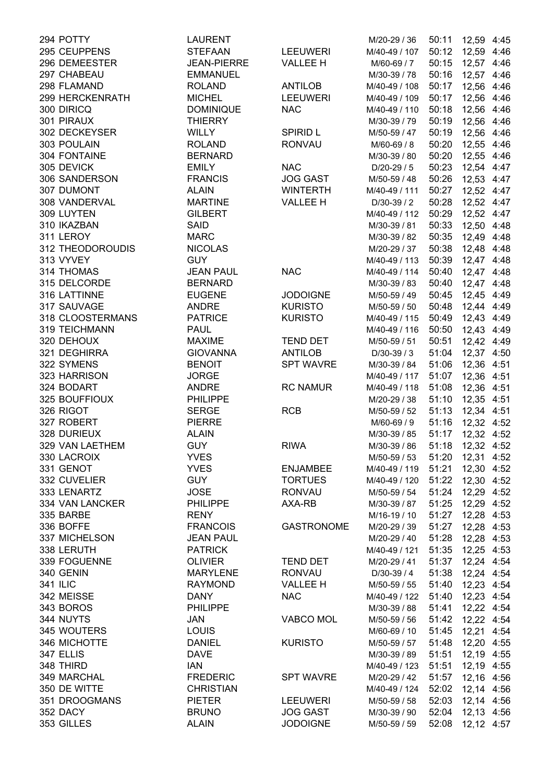| 294 POTTY        | <b>LAURENT</b>     |                   | M/20-29 / 36  | 50:11            | 12,59 4:45 |  |
|------------------|--------------------|-------------------|---------------|------------------|------------|--|
| 295 CEUPPENS     | <b>STEFAAN</b>     | <b>LEEUWERI</b>   | M/40-49 / 107 | 50:12 12,59 4:46 |            |  |
| 296 DEMEESTER    | <b>JEAN-PIERRE</b> | <b>VALLEE H</b>   | M/60-69 / 7   | 50:15 12,57 4:46 |            |  |
| 297 CHABEAU      | <b>EMMANUEL</b>    |                   | M/30-39 / 78  | 50:16 12,57 4:46 |            |  |
| 298 FLAMAND      | <b>ROLAND</b>      | <b>ANTILOB</b>    | M/40-49 / 108 | 50:17            | 12,56 4:46 |  |
| 299 HERCKENRATH  | <b>MICHEL</b>      | <b>LEEUWERI</b>   | M/40-49 / 109 | 50:17            | 12,56 4:46 |  |
| 300 DIRICQ       | <b>DOMINIQUE</b>   | <b>NAC</b>        | M/40-49 / 110 | 50:18            | 12,56 4:46 |  |
| 301 PIRAUX       | <b>THIERRY</b>     |                   | M/30-39 / 79  | 50:19            | 12,56 4:46 |  |
| 302 DECKEYSER    | <b>WILLY</b>       | <b>SPIRID L</b>   | M/50-59 / 47  | 50:19            | 12,56 4:46 |  |
| 303 POULAIN      | <b>ROLAND</b>      | <b>RONVAU</b>     | M/60-69 / 8   | 50:20            | 12,55 4:46 |  |
| 304 FONTAINE     | <b>BERNARD</b>     |                   | M/30-39 / 80  | 50:20            | 12,55 4:46 |  |
| 305 DEVICK       | <b>EMILY</b>       | <b>NAC</b>        | D/20-29 / 5   | 50:23            | 12,54 4:47 |  |
| 306 SANDERSON    | <b>FRANCIS</b>     | <b>JOG GAST</b>   | M/50-59 / 48  | 50:26 12,53 4:47 |            |  |
| 307 DUMONT       | <b>ALAIN</b>       | <b>WINTERTH</b>   | M/40-49 / 111 | 50:27            | 12,52 4:47 |  |
| 308 VANDERVAL    | <b>MARTINE</b>     | <b>VALLEE H</b>   | D/30-39 / 2   | 50:28 12,52 4:47 |            |  |
| 309 LUYTEN       | <b>GILBERT</b>     |                   | M/40-49 / 112 | 50:29 12,52 4:47 |            |  |
| 310 IKAZBAN      | <b>SAID</b>        |                   | M/30-39 / 81  | 50:33 12,50 4:48 |            |  |
| 311 LEROY        | <b>MARC</b>        |                   | M/30-39 / 82  | 50:35 12,49 4:48 |            |  |
| 312 THEODOROUDIS | <b>NICOLAS</b>     |                   |               |                  |            |  |
|                  |                    |                   | M/20-29 / 37  | 50:38            | 12,48 4:48 |  |
| 313 VYVEY        | <b>GUY</b>         |                   | M/40-49 / 113 | 50:39            | 12,47 4:48 |  |
| 314 THOMAS       | <b>JEAN PAUL</b>   | <b>NAC</b>        | M/40-49 / 114 | 50:40            | 12,47 4:48 |  |
| 315 DELCORDE     | <b>BERNARD</b>     |                   | M/30-39 / 83  | 50:40            | 12,47 4:48 |  |
| 316 LATTINNE     | <b>EUGENE</b>      | <b>JODOIGNE</b>   | M/50-59 / 49  | 50:45            | 12,45 4:49 |  |
| 317 SAUVAGE      | <b>ANDRE</b>       | <b>KURISTO</b>    | M/50-59 / 50  | 50:48            | 12,44 4:49 |  |
| 318 CLOOSTERMANS | <b>PATRICE</b>     | <b>KURISTO</b>    | M/40-49 / 115 | 50:49            | 12,43 4:49 |  |
| 319 TEICHMANN    | <b>PAUL</b>        |                   | M/40-49 / 116 | 50:50 12,43 4:49 |            |  |
| 320 DEHOUX       | <b>MAXIME</b>      | <b>TEND DET</b>   | M/50-59 / 51  | 50:51            | 12,42 4:49 |  |
| 321 DEGHIRRA     | <b>GIOVANNA</b>    | <b>ANTILOB</b>    | D/30-39 / 3   | 51:04            | 12,37 4:50 |  |
| 322 SYMENS       | <b>BENOIT</b>      | <b>SPT WAVRE</b>  | M/30-39 / 84  | 51:06            | 12,36 4:51 |  |
| 323 HARRISON     | <b>JORGE</b>       |                   | M/40-49 / 117 | 51:07            | 12,36 4:51 |  |
| 324 BODART       | <b>ANDRE</b>       | <b>RC NAMUR</b>   | M/40-49 / 118 | 51:08            | 12,36 4:51 |  |
| 325 BOUFFIOUX    | <b>PHILIPPE</b>    |                   | M/20-29 / 38  | 51:10            | 12,35 4:51 |  |
| 326 RIGOT        | <b>SERGE</b>       | <b>RCB</b>        | M/50-59 / 52  | 51:13            | 12,34 4:51 |  |
| 327 ROBERT       | <b>PIERRE</b>      |                   | M/60-69 / 9   | 51:16            | 12,32 4:52 |  |
| 328 DURIEUX      | <b>ALAIN</b>       |                   | M/30-39 / 85  | 51:17            | 12,32 4:52 |  |
| 329 VAN LAETHEM  | <b>GUY</b>         | <b>RIWA</b>       | M/30-39 / 86  | 51:18            | 12,32 4:52 |  |
| 330 LACROIX      | <b>YVES</b>        |                   | M/50-59 / 53  | 51:20            | 12,31 4:52 |  |
| 331 GENOT        | <b>YVES</b>        | <b>ENJAMBEE</b>   | M/40-49 / 119 | 51:21            | 12,30 4:52 |  |
| 332 CUVELIER     | <b>GUY</b>         | <b>TORTUES</b>    | M/40-49 / 120 | 51:22            | 12,30 4:52 |  |
| 333 LENARTZ      | <b>JOSE</b>        | <b>RONVAU</b>     | M/50-59 / 54  | 51:24            | 12,29 4:52 |  |
| 334 VAN LANCKER  | <b>PHILIPPE</b>    | AXA-RB            | M/30-39 / 87  | 51:25            | 12,29 4:52 |  |
| 335 BARBE        | <b>RENY</b>        |                   | M/16-19 / 10  | 51:27            | 12,28 4:53 |  |
| 336 BOFFE        | <b>FRANCOIS</b>    | <b>GASTRONOME</b> | M/20-29 / 39  | 51:27            | 12,28 4:53 |  |
| 337 MICHELSON    | <b>JEAN PAUL</b>   |                   | M/20-29 / 40  | 51:28            | 12,28 4:53 |  |
| 338 LERUTH       | <b>PATRICK</b>     |                   | M/40-49 / 121 | 51:35            | 12,25 4:53 |  |
| 339 FOGUENNE     | <b>OLIVIER</b>     | <b>TEND DET</b>   | M/20-29 / 41  | 51:37            | 12,24 4:54 |  |
| 340 GENIN        | <b>MARYLENE</b>    | <b>RONVAU</b>     | D/30-39 / 4   | 51:38            | 12,24 4:54 |  |
| <b>341 ILIC</b>  | <b>RAYMOND</b>     | <b>VALLEE H</b>   | M/50-59 / 55  | 51:40            | 12,23 4:54 |  |
| 342 MEISSE       | <b>DANY</b>        | <b>NAC</b>        |               |                  |            |  |
|                  |                    |                   | M/40-49 / 122 | 51:40            | 12,23 4:54 |  |
| 343 BOROS        | <b>PHILIPPE</b>    |                   | M/30-39 / 88  | 51:41            | 12,22 4:54 |  |
| 344 NUYTS        | JAN                | <b>VABCO MOL</b>  | M/50-59 / 56  | 51:42            | 12,22 4:54 |  |
| 345 WOUTERS      | LOUIS              |                   | M/60-69 / 10  | 51:45 12,21 4:54 |            |  |
| 346 MICHOTTE     | <b>DANIEL</b>      | <b>KURISTO</b>    | M/50-59 / 57  | 51:48 12,20 4:55 |            |  |
| 347 ELLIS        | <b>DAVE</b>        |                   | M/30-39 / 89  | 51:51            | 12,19 4:55 |  |
| 348 THIRD        | <b>IAN</b>         |                   | M/40-49 / 123 | 51:51            | 12,19 4:55 |  |
| 349 MARCHAL      | <b>FREDERIC</b>    | <b>SPT WAVRE</b>  | M/20-29 / 42  | 51:57            | 12,16 4:56 |  |
| 350 DE WITTE     | <b>CHRISTIAN</b>   |                   | M/40-49 / 124 | 52:02            | 12,14 4:56 |  |
| 351 DROOGMANS    | <b>PIETER</b>      | <b>LEEUWERI</b>   | M/50-59 / 58  | 52:03            | 12,14 4:56 |  |
| 352 DACY         | <b>BRUNO</b>       | <b>JOG GAST</b>   | M/30-39 / 90  | 52:04            | 12,13 4:56 |  |
| 353 GILLES       | <b>ALAIN</b>       | <b>JODOIGNE</b>   | M/50-59 / 59  | 52:08            | 12,12 4:57 |  |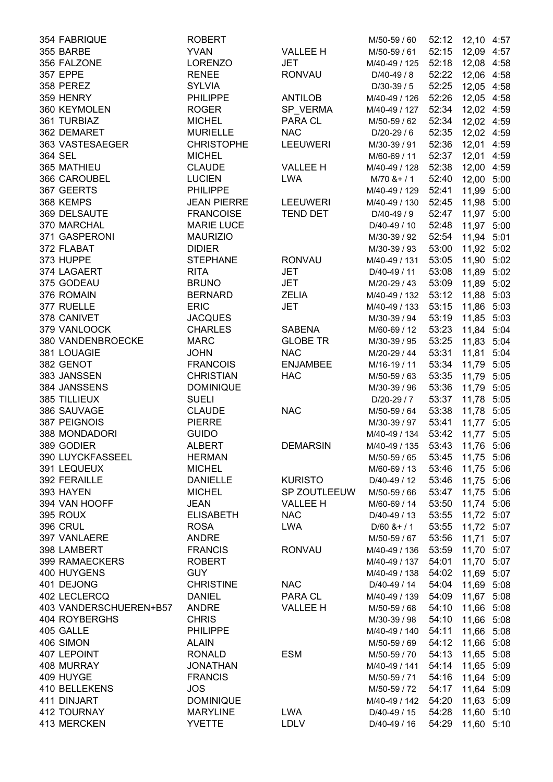| 354 FABRIQUE           | <b>ROBERT</b>      |                 | M/50-59 / 60   |       | 52:12 12,10 4:57 |  |
|------------------------|--------------------|-----------------|----------------|-------|------------------|--|
| 355 BARBE              | <b>YVAN</b>        | <b>VALLEE H</b> | M/50-59 / 61   |       | 52:15 12,09 4:57 |  |
| 356 FALZONE            | <b>LORENZO</b>     | <b>JET</b>      | M/40-49 / 125  |       | 52:18 12,08 4:58 |  |
| <b>357 EPPE</b>        | <b>RENEE</b>       | <b>RONVAU</b>   | $D/40-49/8$    |       | 52:22 12,06 4:58 |  |
| 358 PEREZ              | <b>SYLVIA</b>      |                 | D/30-39 / 5    | 52:25 | 12,05 4:58       |  |
| 359 HENRY              | <b>PHILIPPE</b>    | <b>ANTILOB</b>  | M/40-49 / 126  | 52:26 | 12,05 4:58       |  |
| 360 KEYMOLEN           | <b>ROGER</b>       | SP_VERMA        | M/40-49 / 127  | 52:34 | 12,02 4:59       |  |
| 361 TURBIAZ            | <b>MICHEL</b>      | PARA CL         | M/50-59 / 62   | 52:34 | 12,02 4:59       |  |
| 362 DEMARET            | <b>MURIELLE</b>    | <b>NAC</b>      | D/20-29 / 6    | 52:35 | 12,02 4:59       |  |
| 363 VASTESAEGER        | <b>CHRISTOPHE</b>  | <b>LEEUWERI</b> | M/30-39 / 91   | 52:36 | 12,01 4:59       |  |
| 364 SEL                | <b>MICHEL</b>      |                 | M/60-69 / 11   | 52:37 | 12,01 4:59       |  |
| 365 MATHIEU            | <b>CLAUDE</b>      | <b>VALLEE H</b> | M/40-49 / 128  | 52:38 | 12,00 4:59       |  |
| 366 CAROUBEL           | <b>LUCIEN</b>      | <b>LWA</b>      | $M/70$ & + / 1 | 52:40 | 12,00 5:00       |  |
|                        | <b>PHILIPPE</b>    |                 |                |       |                  |  |
| 367 GEERTS             |                    |                 | M/40-49 / 129  | 52:41 | 11,99 5:00       |  |
| 368 KEMPS              | <b>JEAN PIERRE</b> | <b>LEEUWERI</b> | M/40-49 / 130  |       | 52:45 11,98 5:00 |  |
| 369 DELSAUTE           | <b>FRANCOISE</b>   | <b>TEND DET</b> | D/40-49 / 9    | 52:47 | 11,97 5:00       |  |
| 370 MARCHAL            | <b>MARIE LUCE</b>  |                 | D/40-49 / 10   | 52:48 | 11,97 5:00       |  |
| 371 GASPERONI          | <b>MAURIZIO</b>    |                 | M/30-39 / 92   | 52:54 | 11,94 5:01       |  |
| 372 FLABAT             | <b>DIDIER</b>      |                 | M/30-39 / 93   | 53:00 | 11,92 5:02       |  |
| 373 HUPPE              | <b>STEPHANE</b>    | <b>RONVAU</b>   | M/40-49 / 131  | 53:05 | 11,90 5:02       |  |
| 374 LAGAERT            | <b>RITA</b>        | <b>JET</b>      | D/40-49 / 11   | 53:08 | 11,89 5:02       |  |
| 375 GODEAU             | <b>BRUNO</b>       | <b>JET</b>      | M/20-29 / 43   | 53:09 | 11,89 5:02       |  |
| 376 ROMAIN             | <b>BERNARD</b>     | <b>ZELIA</b>    | M/40-49 / 132  | 53:12 | 11,88 5:03       |  |
| 377 RUELLE             | <b>ERIC</b>        | <b>JET</b>      | M/40-49 / 133  | 53:15 | 11,86 5:03       |  |
| 378 CANIVET            | <b>JACQUES</b>     |                 | M/30-39 / 94   | 53:19 | 11,85 5:03       |  |
| 379 VANLOOCK           | <b>CHARLES</b>     | <b>SABENA</b>   | M/60-69 / 12   | 53:23 | 11,84 5:04       |  |
| 380 VANDENBROECKE      | <b>MARC</b>        | <b>GLOBE TR</b> | M/30-39 / 95   | 53:25 | 11,83 5:04       |  |
| 381 LOUAGIE            | <b>JOHN</b>        | <b>NAC</b>      | M/20-29 / 44   | 53:31 | 11,81 5:04       |  |
| 382 GENOT              | <b>FRANCOIS</b>    | <b>ENJAMBEE</b> | M/16-19 / 11   | 53:34 | 11,79 5:05       |  |
| 383 JANSSEN            | <b>CHRISTIAN</b>   | <b>HAC</b>      | M/50-59 / 63   | 53:35 | 11,79 5:05       |  |
| 384 JANSSENS           | <b>DOMINIQUE</b>   |                 | M/30-39 / 96   | 53:36 | 11,79 5:05       |  |
| 385 TILLIEUX           | <b>SUELI</b>       |                 | D/20-29 / 7    | 53:37 | 11,78 5:05       |  |
| 386 SAUVAGE            | <b>CLAUDE</b>      | <b>NAC</b>      | M/50-59 / 64   | 53:38 | 11,78 5:05       |  |
| 387 PEIGNOIS           | <b>PIERRE</b>      |                 | M/30-39 / 97   | 53:41 | 11,77 5:05       |  |
| 388 MONDADORI          | <b>GUIDO</b>       |                 | M/40-49 / 134  | 53:42 | 11,77 5:05       |  |
| 389 GODIER             | <b>ALBERT</b>      | <b>DEMARSIN</b> | M/40-49 / 135  | 53:43 | 11,76 5:06       |  |
| 390 LUYCKFASSEEL       | <b>HERMAN</b>      |                 | M/50-59 / 65   | 53:45 | 11,75 5:06       |  |
| 391 LEQUEUX            | <b>MICHEL</b>      |                 | M/60-69 / 13   | 53:46 | 11,75 5:06       |  |
| 392 FERAILLE           | <b>DANIELLE</b>    | <b>KURISTO</b>  |                | 53:46 |                  |  |
| 393 HAYEN              |                    |                 | D/40-49 / 12   |       | 11,75 5:06       |  |
|                        | <b>MICHEL</b>      | SP ZOUTLEEUW    | M/50-59 / 66   | 53:47 | 11,75 5:06       |  |
| 394 VAN HOOFF          | <b>JEAN</b>        | <b>VALLEE H</b> | M/60-69 / 14   | 53:50 | 11,74 5:06       |  |
| 395 ROUX               | <b>ELISABETH</b>   | <b>NAC</b>      | D/40-49 / 13   | 53:55 | 11,72 5:07       |  |
| <b>396 CRUL</b>        | <b>ROSA</b>        | <b>LWA</b>      | $D/60$ & + / 1 | 53:55 | 11,72 5:07       |  |
| 397 VANLAERE           | <b>ANDRE</b>       |                 | M/50-59 / 67   | 53:56 | 11,71 5:07       |  |
| 398 LAMBERT            | <b>FRANCIS</b>     | <b>RONVAU</b>   | M/40-49 / 136  | 53:59 | 11,70 5:07       |  |
| <b>399 RAMAECKERS</b>  | <b>ROBERT</b>      |                 | M/40-49 / 137  | 54:01 | 11,70 5:07       |  |
| 400 HUYGENS            | <b>GUY</b>         |                 | M/40-49 / 138  | 54:02 | 11,69 5:07       |  |
| 401 DEJONG             | <b>CHRISTINE</b>   | <b>NAC</b>      | D/40-49 / 14   | 54:04 | 11,69 5:08       |  |
| 402 LECLERCQ           | <b>DANIEL</b>      | PARA CL         | M/40-49 / 139  | 54:09 | 11,67 5:08       |  |
| 403 VANDERSCHUEREN+B57 | <b>ANDRE</b>       | <b>VALLEE H</b> | M/50-59 / 68   | 54:10 | 11,66 5:08       |  |
| 404 ROYBERGHS          | <b>CHRIS</b>       |                 | M/30-39 / 98   | 54:10 | 11,66 5:08       |  |
| 405 GALLE              | <b>PHILIPPE</b>    |                 | M/40-49 / 140  | 54:11 | 11,66 5:08       |  |
| 406 SIMON              | <b>ALAIN</b>       |                 | M/50-59 / 69   | 54:12 | 11,66 5:08       |  |
| 407 LEPOINT            | <b>RONALD</b>      | <b>ESM</b>      | M/50-59 / 70   | 54:13 | 11,65 5:08       |  |
| 408 MURRAY             | <b>JONATHAN</b>    |                 | M/40-49 / 141  | 54:14 | 11,65 5:09       |  |
| 409 HUYGE              | <b>FRANCIS</b>     |                 | M/50-59 / 71   | 54:16 | 11,64 5:09       |  |
| 410 BELLEKENS          | <b>JOS</b>         |                 | M/50-59 / 72   | 54:17 | 11,64 5:09       |  |
| 411 DINJART            | <b>DOMINIQUE</b>   |                 | M/40-49 / 142  | 54:20 | 11,63 5:09       |  |
| 412 TOURNAY            | <b>MARYLINE</b>    | <b>LWA</b>      | D/40-49 / 15   | 54:28 | 11,60 5:10       |  |
| 413 MERCKEN            | <b>YVETTE</b>      | <b>LDLV</b>     | D/40-49 / 16   | 54:29 | 11,60 5:10       |  |
|                        |                    |                 |                |       |                  |  |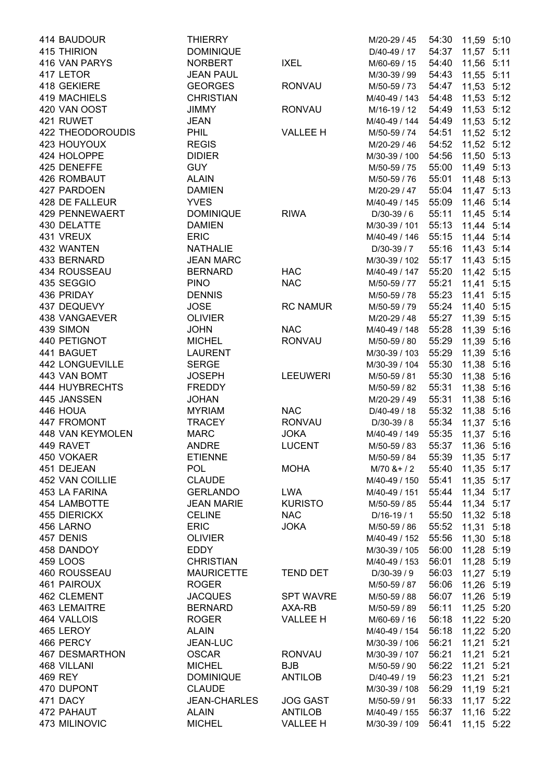| 414 BAUDOUR             | <b>THIERRY</b>      |                  | M/20-29 / 45   |                  | 54:30 11,59 5:10 |  |
|-------------------------|---------------------|------------------|----------------|------------------|------------------|--|
| 415 THIRION             | <b>DOMINIQUE</b>    |                  | D/40-49 / 17   | 54:37            | 11,57 5:11       |  |
| 416 VAN PARYS           | <b>NORBERT</b>      | <b>IXEL</b>      | M/60-69 / 15   | 54:40            | 11,56 5:11       |  |
| 417 LETOR               | <b>JEAN PAUL</b>    |                  | M/30-39 / 99   | 54:43            | 11,55 5:11       |  |
| 418 GEKIERE             | <b>GEORGES</b>      | <b>RONVAU</b>    | M/50-59 / 73   | 54:47            | 11,53 5:12       |  |
| 419 MACHIELS            | <b>CHRISTIAN</b>    |                  | M/40-49 / 143  | 54:48            | 11,53 5:12       |  |
| 420 VAN OOST            | JIMMY               | <b>RONVAU</b>    | M/16-19 / 12   | 54:49            | 11,53 5:12       |  |
| 421 RUWET               | <b>JEAN</b>         |                  | M/40-49 / 144  | 54:49            | 11,53 5:12       |  |
| <b>422 THEODOROUDIS</b> | <b>PHIL</b>         | <b>VALLEE H</b>  | M/50-59 / 74   | 54:51            | 11,52 5:12       |  |
| 423 HOUYOUX             | <b>REGIS</b>        |                  | M/20-29 / 46   | 54:52            | 11,52 5:12       |  |
| 424 HOLOPPE             | <b>DIDIER</b>       |                  | M/30-39 / 100  | 54:56            | 11,50 5:13       |  |
|                         | <b>GUY</b>          |                  |                | 55:00            |                  |  |
| 425 DENEFFE             |                     |                  | M/50-59 / 75   |                  | 11,49 5:13       |  |
| 426 ROMBAUT             | <b>ALAIN</b>        |                  | M/50-59 / 76   | 55:01            | 11,48 5:13       |  |
| 427 PARDOEN             | <b>DAMIEN</b>       |                  | M/20-29 / 47   | 55:04            | 11,47 5:13       |  |
| 428 DE FALLEUR          | <b>YVES</b>         |                  | M/40-49 / 145  | 55:09 11,46 5:14 |                  |  |
| 429 PENNEWAERT          | <b>DOMINIQUE</b>    | <b>RIWA</b>      | D/30-39 / 6    | 55:11            | 11,45 5:14       |  |
| 430 DELATTE             | <b>DAMIEN</b>       |                  | M/30-39 / 101  | 55:13            | 11,44 5:14       |  |
| 431 VREUX               | <b>ERIC</b>         |                  | M/40-49 / 146  | 55:15            | 11,44 5:14       |  |
| 432 WANTEN              | <b>NATHALIE</b>     |                  | D/30-39 / 7    | 55:16            | 11,43 5:14       |  |
| 433 BERNARD             | <b>JEAN MARC</b>    |                  | M/30-39 / 102  | 55:17            | 11,43 5:15       |  |
| 434 ROUSSEAU            | <b>BERNARD</b>      | <b>HAC</b>       | M/40-49 / 147  | 55:20            | 11,42 5:15       |  |
| 435 SEGGIO              | <b>PINO</b>         | <b>NAC</b>       | M/50-59 / 77   | 55:21            | 11,41 5:15       |  |
| 436 PRIDAY              | <b>DENNIS</b>       |                  | M/50-59 / 78   | 55:23            | 11,41 5:15       |  |
| 437 DEQUEVY             | <b>JOSE</b>         | <b>RC NAMUR</b>  | M/50-59 / 79   | 55:24            | 11,40 5:15       |  |
| 438 VANGAEVER           | <b>OLIVIER</b>      |                  | M/20-29 / 48   | 55:27            | 11,39 5:15       |  |
| 439 SIMON               | <b>JOHN</b>         | <b>NAC</b>       | M/40-49 / 148  | 55:28 11,39 5:16 |                  |  |
| 440 PETIGNOT            | <b>MICHEL</b>       | <b>RONVAU</b>    | M/50-59 / 80   | 55:29            | 11,39 5:16       |  |
| 441 BAGUET              | <b>LAURENT</b>      |                  | M/30-39 / 103  | 55:29            | 11,39 5:16       |  |
| <b>442 LONGUEVILLE</b>  | <b>SERGE</b>        |                  | M/30-39 / 104  | 55:30            | 11,38 5:16       |  |
| 443 VAN BOMT            | <b>JOSEPH</b>       | <b>LEEUWERI</b>  | M/50-59 / 81   | 55:30            | 11,38 5:16       |  |
| 444 HUYBRECHTS          | <b>FREDDY</b>       |                  | M/50-59 / 82   | 55:31            | 11,38 5:16       |  |
| 445 JANSSEN             | <b>JOHAN</b>        |                  |                | 55:31            |                  |  |
|                         |                     |                  | M/20-29 / 49   |                  | 11,38 5:16       |  |
| 446 HOUA                | <b>MYRIAM</b>       | <b>NAC</b>       | D/40-49 / 18   | 55:32            | 11,38 5:16       |  |
| 447 FROMONT             | <b>TRACEY</b>       | <b>RONVAU</b>    | D/30-39 / 8    | 55:34            | 11,37 5:16       |  |
| 448 VAN KEYMOLEN        | <b>MARC</b>         | <b>JOKA</b>      | M/40-49 / 149  | 55:35            | 11,37 5:16       |  |
| 449 RAVET               | <b>ANDRE</b>        | <b>LUCENT</b>    | M/50-59 / 83   | 55:37            | 11,36 5:16       |  |
| 450 VOKAER              | <b>ETIENNE</b>      |                  | M/50-59 / 84   | 55:39            | 11,35 5:17       |  |
| 451 DEJEAN              | <b>POL</b>          | <b>MOHA</b>      | $M/70$ & + / 2 | 55:40            | 11,35 5:17       |  |
| 452 VAN COILLIE         | <b>CLAUDE</b>       |                  | M/40-49 / 150  | 55:41            | 11,35 5:17       |  |
| 453 LA FARINA           | <b>GERLANDO</b>     | <b>LWA</b>       | M/40-49 / 151  | 55:44            | 11,34 5:17       |  |
| <b>454 LAMBOTTE</b>     | <b>JEAN MARIE</b>   | <b>KURISTO</b>   | M/50-59 / 85   | 55:44            | 11,34 5:17       |  |
| 455 DIERICKX            | <b>CELINE</b>       | <b>NAC</b>       | $D/16-19/1$    | 55:50            | 11,32 5:18       |  |
| 456 LARNO               | <b>ERIC</b>         | <b>JOKA</b>      | M/50-59 / 86   | 55:52            | 11,31 5:18       |  |
| 457 DENIS               | <b>OLIVIER</b>      |                  | M/40-49 / 152  | 55:56            | 11,30 5:18       |  |
| 458 DANDOY              | <b>EDDY</b>         |                  | M/30-39 / 105  | 56:00            | 11,28 5:19       |  |
| 459 LOOS                | <b>CHRISTIAN</b>    |                  | M/40-49 / 153  | 56:01            | 11,28 5:19       |  |
| 460 ROUSSEAU            | <b>MAURICETTE</b>   | <b>TEND DET</b>  | D/30-39 / 9    | 56:03            | 11,27 5:19       |  |
| 461 PAIROUX             | <b>ROGER</b>        |                  | M/50-59 / 87   | 56:06            | 11,26 5:19       |  |
| 462 CLEMENT             | <b>JACQUES</b>      | <b>SPT WAVRE</b> | M/50-59 / 88   | 56:07            | 11,26 5:19       |  |
| <b>463 LEMAITRE</b>     | <b>BERNARD</b>      | AXA-RB           | M/50-59 / 89   | 56:11            | 11,25 5:20       |  |
| 464 VALLOIS             | <b>ROGER</b>        | <b>VALLEE H</b>  | M/60-69 / 16   | 56:18            | 11,22 5:20       |  |
| 465 LEROY               | <b>ALAIN</b>        |                  | M/40-49 / 154  | 56:18            | 11,22 5:20       |  |
| 466 PERCY               | JEAN-LUC            |                  | M/30-39 / 106  | 56:21            | 11,21 5:21       |  |
|                         |                     |                  |                |                  |                  |  |
| <b>467 DESMARTHON</b>   | <b>OSCAR</b>        | <b>RONVAU</b>    | M/30-39 / 107  | 56:21            | 11,21 5:21       |  |
| 468 VILLANI             | <b>MICHEL</b>       | <b>BJB</b>       | M/50-59 / 90   | 56:22            | 11,21 5:21       |  |
| 469 REY                 | <b>DOMINIQUE</b>    | <b>ANTILOB</b>   | D/40-49 / 19   | 56:23            | 11,21 5:21       |  |
| 470 DUPONT              | <b>CLAUDE</b>       |                  | M/30-39 / 108  | 56:29            | 11,19 5:21       |  |
| 471 DACY                | <b>JEAN-CHARLES</b> | <b>JOG GAST</b>  | M/50-59 / 91   | 56:33            | 11,17 5:22       |  |
| 472 PAHAUT              | <b>ALAIN</b>        | <b>ANTILOB</b>   | M/40-49 / 155  | 56:37            | 11,16 5:22       |  |
| 473 MILINOVIC           | <b>MICHEL</b>       | <b>VALLEE H</b>  | M/30-39 / 109  | 56:41            | 11,15 5:22       |  |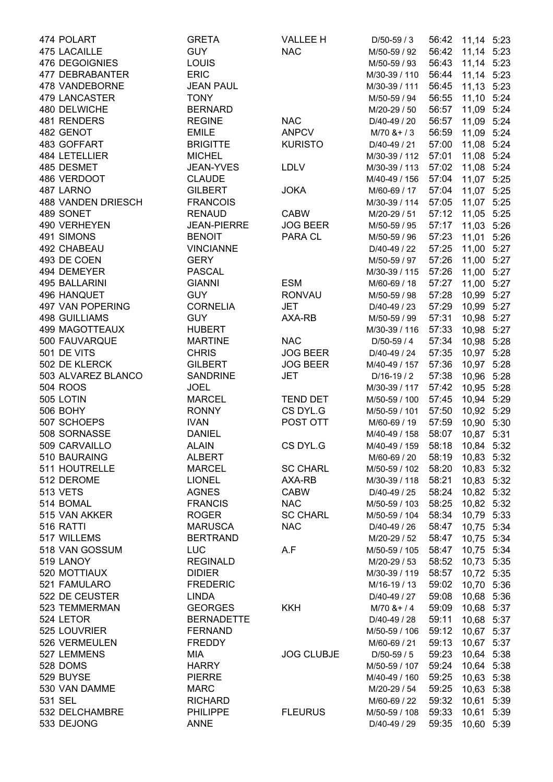| 474 POLART                | <b>GRETA</b>       | <b>VALLEE H</b>   | D/50-59 / 3                   |       | 56:42 11,14 5:23 |  |
|---------------------------|--------------------|-------------------|-------------------------------|-------|------------------|--|
| 475 LACAILLE              | <b>GUY</b>         | <b>NAC</b>        | M/50-59 / 92                  |       | 56:42 11,14 5:23 |  |
| 476 DEGOIGNIES            | <b>LOUIS</b>       |                   | M/50-59 / 93                  |       | 56:43 11,14 5:23 |  |
| 477 DEBRABANTER           | <b>ERIC</b>        |                   | M/30-39 / 110                 | 56:44 | 11,14 5:23       |  |
| 478 VANDEBORNE            | <b>JEAN PAUL</b>   |                   | M/30-39 / 111                 | 56:45 | 11,13 5:23       |  |
| <b>479 LANCASTER</b>      | <b>TONY</b>        |                   | M/50-59 / 94                  | 56:55 | 11,10 5:24       |  |
| 480 DELWICHE              | <b>BERNARD</b>     |                   | M/20-29 / 50                  | 56:57 | 11,09 5:24       |  |
| 481 RENDERS               | <b>REGINE</b>      | <b>NAC</b>        | D/40-49 / 20                  | 56:57 | 11,09 5:24       |  |
| 482 GENOT                 | <b>EMILE</b>       | <b>ANPCV</b>      | $M/70$ & + / 3                | 56:59 | 11,09 5:24       |  |
| 483 GOFFART               | <b>BRIGITTE</b>    | <b>KURISTO</b>    | D/40-49 / 21                  | 57:00 | 11,08 5:24       |  |
| 484 LETELLIER             | <b>MICHEL</b>      |                   | M/30-39 / 112                 | 57:01 | 11,08 5:24       |  |
| 485 DESMET                | <b>JEAN-YVES</b>   | <b>LDLV</b>       | M/30-39 / 113                 | 57:02 | 11,08 5:24       |  |
| 486 VERDOOT               | <b>CLAUDE</b>      |                   | M/40-49 / 156                 | 57:04 | 11,07 5:25       |  |
| 487 LARNO                 | <b>GILBERT</b>     | <b>JOKA</b>       | M/60-69 / 17                  | 57:04 | 11,07 5:25       |  |
| <b>488 VANDEN DRIESCH</b> | <b>FRANCOIS</b>    |                   | M/30-39 / 114                 |       | 57:05 11,07 5:25 |  |
| 489 SONET                 | <b>RENAUD</b>      | <b>CABW</b>       | M/20-29 / 51                  |       | 57:12 11,05 5:25 |  |
| 490 VERHEYEN              | <b>JEAN-PIERRE</b> | <b>JOG BEER</b>   | M/50-59 / 95                  | 57:17 | 11,03 5:26       |  |
| 491 SIMONS                | <b>BENOIT</b>      | PARA CL           | M/50-59 / 96                  | 57:23 | 11,01 5:26       |  |
| 492 CHABEAU               | <b>VINCIANNE</b>   |                   | D/40-49 / 22                  | 57:25 | 11,00 5:27       |  |
| 493 DE COEN               | <b>GERY</b>        |                   | M/50-59 / 97                  | 57:26 | 11,00 5:27       |  |
| 494 DEMEYER               | <b>PASCAL</b>      |                   |                               | 57:26 | 11,00 5:27       |  |
| 495 BALLARINI             | <b>GIANNI</b>      | <b>ESM</b>        | M/30-39 / 115<br>M/60-69 / 18 | 57:27 | 11,00 5:27       |  |
| 496 HANQUET               |                    | <b>RONVAU</b>     |                               |       |                  |  |
|                           | <b>GUY</b>         |                   | M/50-59 / 98                  | 57:28 | 10,99 5:27       |  |
| 497 VAN POPERING          | <b>CORNELIA</b>    | <b>JET</b>        | D/40-49 / 23                  | 57:29 | 10,99 5:27       |  |
| <b>498 GUILLIAMS</b>      | <b>GUY</b>         | AXA-RB            | M/50-59 / 99                  | 57:31 | 10,98 5:27       |  |
| 499 MAGOTTEAUX            | <b>HUBERT</b>      |                   | M/30-39 / 116                 | 57:33 | 10,98 5:27       |  |
| 500 FAUVARQUE             | <b>MARTINE</b>     | <b>NAC</b>        | D/50-59 / 4                   | 57:34 | 10,98 5:28       |  |
| 501 DE VITS               | <b>CHRIS</b>       | <b>JOG BEER</b>   | D/40-49 / 24                  | 57:35 | 10,97 5:28       |  |
| 502 DE KLERCK             | <b>GILBERT</b>     | <b>JOG BEER</b>   | M/40-49 / 157                 | 57:36 | 10,97 5:28       |  |
| 503 ALVAREZ BLANCO        | <b>SANDRINE</b>    | <b>JET</b>        | $D/16-19/2$                   | 57:38 | 10,96 5:28       |  |
| 504 ROOS                  | <b>JOEL</b>        |                   | M/30-39 / 117                 | 57:42 | 10,95 5:28       |  |
| 505 LOTIN                 | <b>MARCEL</b>      | <b>TEND DET</b>   | M/50-59 / 100                 | 57:45 | 10,94 5:29       |  |
| 506 BOHY                  | <b>RONNY</b>       | CS DYL.G          | M/50-59 / 101                 | 57:50 | 10,92 5:29       |  |
| 507 SCHOEPS               | <b>IVAN</b>        | POST OTT          | M/60-69 / 19                  | 57:59 | 10,90 5:30       |  |
| 508 SORNASSE              | <b>DANIEL</b>      |                   | M/40-49 / 158                 | 58:07 | 10,87 5:31       |  |
| 509 CARVAILLO             | <b>ALAIN</b>       | CS DYL.G          | M/40-49 / 159                 | 58:18 | 10,84 5:32       |  |
| 510 BAURAING              | <b>ALBERT</b>      |                   | M/60-69 / 20                  | 58:19 | 10,83 5:32       |  |
| 511 HOUTRELLE             | <b>MARCEL</b>      | <b>SC CHARL</b>   | M/50-59 / 102                 | 58:20 | 10,83 5:32       |  |
| 512 DEROME                | <b>LIONEL</b>      | AXA-RB            | M/30-39 / 118                 | 58:21 | 10,83 5:32       |  |
| 513 VETS                  | <b>AGNES</b>       | <b>CABW</b>       | D/40-49 / 25                  | 58:24 | 10,82 5:32       |  |
| 514 BOMAL                 | <b>FRANCIS</b>     | <b>NAC</b>        | M/50-59 / 103                 | 58:25 | 10,82 5:32       |  |
| 515 VAN AKKER             | <b>ROGER</b>       | <b>SC CHARL</b>   | M/50-59 / 104                 | 58:34 | 10,79 5:33       |  |
| 516 RATTI                 | <b>MARUSCA</b>     | <b>NAC</b>        | D/40-49 / 26                  | 58:47 | 10,75 5:34       |  |
| 517 WILLEMS               | <b>BERTRAND</b>    |                   | M/20-29 / 52                  | 58:47 | 10,75 5:34       |  |
| 518 VAN GOSSUM            | <b>LUC</b>         | A.F               | M/50-59 / 105                 | 58:47 | 10,75 5:34       |  |
| 519 LANOY                 | <b>REGINALD</b>    |                   | M/20-29 / 53                  | 58:52 | 10,73 5:35       |  |
| 520 MOTTIAUX              | <b>DIDIER</b>      |                   | M/30-39 / 119                 | 58:57 | 10,72 5:35       |  |
| 521 FAMULARO              | <b>FREDERIC</b>    |                   | M/16-19 / 13                  | 59:02 | 10,70 5:36       |  |
| 522 DE CEUSTER            | <b>LINDA</b>       |                   | D/40-49 / 27                  | 59:08 | 10,68 5:36       |  |
| 523 TEMMERMAN             | <b>GEORGES</b>     | <b>KKH</b>        | $M/70$ & + / 4                | 59:09 | 10,68 5:37       |  |
| 524 LETOR                 | <b>BERNADETTE</b>  |                   | D/40-49 / 28                  | 59:11 | 10,68 5:37       |  |
| 525 LOUVRIER              | <b>FERNAND</b>     |                   | M/50-59 / 106                 | 59:12 | 10,67 5:37       |  |
| 526 VERMEULEN             | <b>FREDDY</b>      |                   | M/60-69 / 21                  | 59:13 | 10,67 5:37       |  |
| 527 LEMMENS               | MIA                | <b>JOG CLUBJE</b> | $D/50-59/5$                   | 59:23 | 10,64 5:38       |  |
| 528 DOMS                  | <b>HARRY</b>       |                   | M/50-59 / 107                 | 59:24 | 10,64 5:38       |  |
| 529 BUYSE                 | <b>PIERRE</b>      |                   | M/40-49 / 160                 | 59:25 | 10,63 5:38       |  |
| 530 VAN DAMME             | <b>MARC</b>        |                   | M/20-29 / 54                  | 59:25 | 10,63 5:38       |  |
| 531 SEL                   | <b>RICHARD</b>     |                   | M/60-69 / 22                  | 59:32 | 10,61 5:39       |  |
| 532 DELCHAMBRE            | <b>PHILIPPE</b>    | <b>FLEURUS</b>    | M/50-59 / 108                 | 59:33 | 10,61 5:39       |  |
| 533 DEJONG                | <b>ANNE</b>        |                   | D/40-49 / 29                  | 59:35 | 10,60 5:39       |  |
|                           |                    |                   |                               |       |                  |  |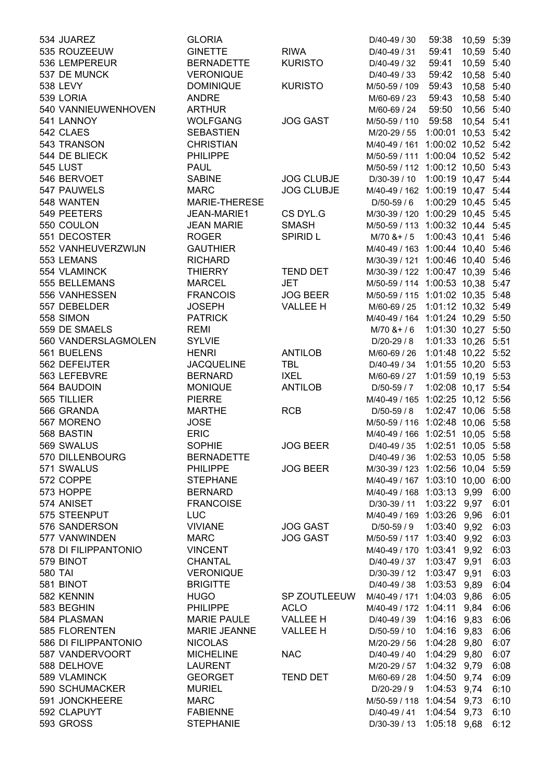| 534 JUAREZ           | <b>GLORIA</b>       |                   | D/40-49 / 30                       | 59:38              | 10,59 5:39 |      |
|----------------------|---------------------|-------------------|------------------------------------|--------------------|------------|------|
| 535 ROUZEEUW         | <b>GINETTE</b>      | <b>RIWA</b>       | D/40-49 / 31                       | 59:41              | 10,59 5:40 |      |
| 536 LEMPEREUR        | <b>BERNADETTE</b>   | <b>KURISTO</b>    | D/40-49 / 32                       | 59:41              | 10,59 5:40 |      |
| 537 DE MUNCK         | <b>VERONIQUE</b>    |                   | D/40-49 / 33                       | 59:42              | 10,58 5:40 |      |
| 538 LEVY             | <b>DOMINIQUE</b>    | <b>KURISTO</b>    | M/50-59 / 109                      | 59:43              | 10,58 5:40 |      |
| 539 LORIA            | <b>ANDRE</b>        |                   | M/60-69 / 23                       | 59:43              | 10,58 5:40 |      |
| 540 VANNIEUWENHOVEN  | <b>ARTHUR</b>       |                   | M/60-69 / 24                       | 59:50              | 10,56 5:40 |      |
| 541 LANNOY           | <b>WOLFGANG</b>     | <b>JOG GAST</b>   | M/50-59 / 110                      | 59:58              | 10,54 5:41 |      |
| 542 CLAES            | <b>SEBASTIEN</b>    |                   | M/20-29 / 55                       | 1:00:01 10,53 5:42 |            |      |
| 543 TRANSON          | <b>CHRISTIAN</b>    |                   | M/40-49 / 161 1:00:02 10,52 5:42   |                    |            |      |
| 544 DE BLIECK        | <b>PHILIPPE</b>     |                   | M/50-59 / 111 1:00:04 10,52 5:42   |                    |            |      |
| <b>545 LUST</b>      | <b>PAUL</b>         |                   | M/50-59 / 112 1:00:12 10,50 5:43   |                    |            |      |
| 546 BERVOET          | <b>SABINE</b>       | <b>JOG CLUBJE</b> | D/30-39 / 10  1:00:19  10,47  5:44 |                    |            |      |
| 547 PAUWELS          | <b>MARC</b>         | <b>JOG CLUBJE</b> | M/40-49 / 162 1:00:19 10,47 5:44   |                    |            |      |
| 548 WANTEN           | MARIE-THERESE       |                   | D/50-59 / 6                        | 1:00:29 10,45 5:45 |            |      |
| 549 PEETERS          | JEAN-MARIE1         | CS DYL.G          | M/30-39 / 120 1:00:29 10,45 5:45   |                    |            |      |
| 550 COULON           | <b>JEAN MARIE</b>   | <b>SMASH</b>      | M/50-59 / 113 1:00:32 10,44 5:45   |                    |            |      |
| 551 DECOSTER         | <b>ROGER</b>        | <b>SPIRID L</b>   | M/70 & + / 5 1:00:43 10,41 5:46    |                    |            |      |
| 552 VANHEUVERZWIJN   | <b>GAUTHIER</b>     |                   | M/40-49 / 163 1:00:44 10,40 5:46   |                    |            |      |
| 553 LEMANS           | <b>RICHARD</b>      |                   | M/30-39 / 121 1:00:46 10,40 5:46   |                    |            |      |
| 554 VLAMINCK         | <b>THIERRY</b>      | <b>TEND DET</b>   | M/30-39 / 122 1:00:47 10,39 5:46   |                    |            |      |
| 555 BELLEMANS        | <b>MARCEL</b>       | JET               | M/50-59 / 114 1:00:53 10,38 5:47   |                    |            |      |
|                      |                     |                   |                                    |                    |            |      |
| 556 VANHESSEN        | <b>FRANCOIS</b>     | <b>JOG BEER</b>   | M/50-59 / 115 1:01:02 10,35 5:48   |                    |            |      |
| 557 DEBELDER         | <b>JOSEPH</b>       | <b>VALLEE H</b>   | M/60-69 / 25 1:01:12 10,32 5:49    |                    |            |      |
| 558 SIMON            | <b>PATRICK</b>      |                   | M/40-49 / 164 1:01:24 10,29 5:50   |                    |            |      |
| 559 DE SMAELS        | <b>REMI</b>         |                   | $M/70$ & + / 6                     | 1:01:30 10,27 5:50 |            |      |
| 560 VANDERSLAGMOLEN  | <b>SYLVIE</b>       |                   | D/20-29 / 8                        | 1:01:33 10,26 5:51 |            |      |
| 561 BUELENS          | <b>HENRI</b>        | <b>ANTILOB</b>    | M/60-69 / 26                       | 1:01:48 10,22 5:52 |            |      |
| 562 DEFEIJTER        | <b>JACQUELINE</b>   | <b>TBL</b>        | D/40-49 / 34                       | 1:01:55 10,20 5:53 |            |      |
| 563 LEFEBVRE         | <b>BERNARD</b>      | <b>IXEL</b>       | M/60-69 / 27                       | 1:01:59 10,19 5:53 |            |      |
| 564 BAUDOIN          | <b>MONIQUE</b>      | <b>ANTILOB</b>    | D/50-59 / 7                        | 1:02:08 10,17 5:54 |            |      |
| 565 TILLIER          | <b>PIERRE</b>       |                   | M/40-49 / 165 1:02:25 10,12 5:56   |                    |            |      |
| 566 GRANDA           | <b>MARTHE</b>       | <b>RCB</b>        | $D/50-59/8$                        | 1:02:47 10,06 5:58 |            |      |
| 567 MORENO           | <b>JOSE</b>         |                   | M/50-59 / 116 1:02:48 10,06 5:58   |                    |            |      |
| 568 BASTIN           | <b>ERIC</b>         |                   | M/40-49 / 166 1:02:51 10,05 5:58   |                    |            |      |
| 569 SWALUS           | <b>SOPHIE</b>       | <b>JOG BEER</b>   | D/40-49 / 35                       | 1:02:51 10,05 5:58 |            |      |
| 570 DILLENBOURG      | <b>BERNADETTE</b>   |                   | D/40-49 / 36  1:02:53  10,05  5:58 |                    |            |      |
| 571 SWALUS           | <b>PHILIPPE</b>     | <b>JOG BEER</b>   | M/30-39 / 123 1:02:56 10,04 5:59   |                    |            |      |
| 572 COPPE            | <b>STEPHANE</b>     |                   | M/40-49 / 167 1:03:10 10,00 6:00   |                    |            |      |
| 573 HOPPE            | <b>BERNARD</b>      |                   | M/40-49 / 168 1:03:13 9,99         |                    |            | 6:00 |
| 574 ANISET           | <b>FRANCOISE</b>    |                   | D/30-39 / 11 1:03:22 9,97          |                    |            | 6:01 |
| 575 STEENPUT         | <b>LUC</b>          |                   | M/40-49 / 169 1:03:26 9,96         |                    |            | 6:01 |
| 576 SANDERSON        | <b>VIVIANE</b>      | <b>JOG GAST</b>   | D/50-59 / 9                        | 1:03:40 9,92       |            | 6:03 |
| 577 VANWINDEN        | <b>MARC</b>         | <b>JOG GAST</b>   | M/50-59 / 117 1:03:40 9,92         |                    |            | 6:03 |
| 578 DI FILIPPANTONIO | <b>VINCENT</b>      |                   | M/40-49 / 170 1:03:41              |                    | 9,92       | 6:03 |
| 579 BINOT            | <b>CHANTAL</b>      |                   | D/40-49 / 37                       | 1:03:47 9,91       |            | 6:03 |
| <b>580 TAI</b>       | <b>VERONIQUE</b>    |                   | D/30-39 / 12                       | 1:03:47 9,91       |            | 6:03 |
| 581 BINOT            | <b>BRIGITTE</b>     |                   | D/40-49 / 38                       | 1:03:53 9,89       |            | 6:04 |
| 582 KENNIN           | <b>HUGO</b>         | SP ZOUTLEEUW      | M/40-49 / 171 1:04:03 9,86         |                    |            | 6:05 |
| 583 BEGHIN           | <b>PHILIPPE</b>     | <b>ACLO</b>       | M/40-49 / 172 1:04:11 9,84         |                    |            | 6:06 |
| 584 PLASMAN          | <b>MARIE PAULE</b>  | <b>VALLEE H</b>   | D/40-49 / 39 1:04:16 9,83          |                    |            | 6:06 |
| 585 FLORENTEN        | <b>MARIE JEANNE</b> | <b>VALLEE H</b>   | D/50-59 / 10                       | 1:04:16 9,83       |            | 6:06 |
| 586 DI FILIPPANTONIO | <b>NICOLAS</b>      |                   | M/20-29 / 56                       | 1:04:28 9,80       |            | 6:07 |
| 587 VANDERVOORT      | <b>MICHELINE</b>    | <b>NAC</b>        | D/40-49 / 40                       | 1:04:29 9,80       |            | 6:07 |
| 588 DELHOVE          | <b>LAURENT</b>      |                   | M/20-29 / 57                       | 1:04:32 9,79       |            | 6:08 |
| 589 VLAMINCK         | <b>GEORGET</b>      | <b>TEND DET</b>   | M/60-69 / 28                       | 1:04:50 9,74       |            | 6:09 |
| 590 SCHUMACKER       | <b>MURIEL</b>       |                   | D/20-29 / 9                        | 1:04:53 9,74       |            | 6:10 |
| 591 JONCKHEERE       | <b>MARC</b>         |                   | M/50-59 / 118 1:04:54 9,73         |                    |            | 6:10 |
| 592 CLAPUYT          | <b>FABIENNE</b>     |                   | D/40-49 / 41                       | 1:04:54 9,73       |            | 6:10 |
| 593 GROSS            | <b>STEPHANIE</b>    |                   | D/30-39 / 13                       | 1:05:18 9,68       |            | 6:12 |
|                      |                     |                   |                                    |                    |            |      |